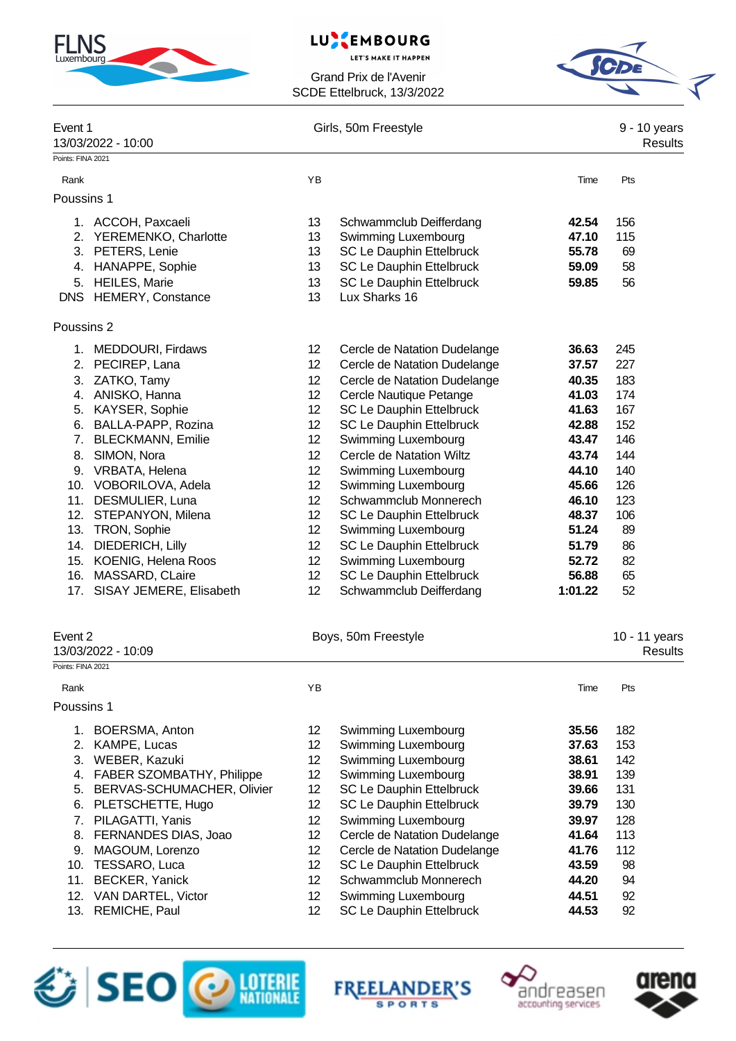| <b>FLNS</b> |  |
|-------------|--|
|             |  |

#### LU. EMBOURG

**LET'S MAKE IT HAPPEN** 



| Event 1<br>13/03/2022 - 10:00    |                 | Girls, 50m Freestyle         |         | 9 - 10 years<br><b>Results</b>  |
|----------------------------------|-----------------|------------------------------|---------|---------------------------------|
| Points: FINA 2021                |                 |                              |         |                                 |
| Rank                             | YB              |                              | Time    | Pts                             |
| Poussins 1                       |                 |                              |         |                                 |
| 1. ACCOH, Paxcaeli               | 13              | Schwammclub Deifferdang      | 42.54   | 156                             |
| 2. YEREMENKO, Charlotte          | 13              | Swimming Luxembourg          | 47.10   | 115                             |
| 3. PETERS, Lenie                 | 13              | SC Le Dauphin Ettelbruck     | 55.78   | 69                              |
| 4. HANAPPE, Sophie               | 13              | SC Le Dauphin Ettelbruck     | 59.09   | 58                              |
| 5. HEILES, Marie                 | 13              | SC Le Dauphin Ettelbruck     | 59.85   | 56                              |
| DNS HEMERY, Constance            | 13              | Lux Sharks 16                |         |                                 |
| Poussins 2                       |                 |                              |         |                                 |
| 1. MEDDOURI, Firdaws             | 12              | Cercle de Natation Dudelange | 36.63   | 245                             |
| 2. PECIREP, Lana                 | 12              | Cercle de Natation Dudelange | 37.57   | 227                             |
| ZATKO, Tamy<br>3.                | 12              | Cercle de Natation Dudelange | 40.35   | 183                             |
| 4. ANISKO, Hanna                 | 12              | Cercle Nautique Petange      | 41.03   | 174                             |
| 5. KAYSER, Sophie                | 12 <sup>2</sup> | SC Le Dauphin Ettelbruck     | 41.63   | 167                             |
| BALLA-PAPP, Rozina<br>6.         | 12              | SC Le Dauphin Ettelbruck     | 42.88   | 152                             |
| <b>BLECKMANN, Emilie</b><br>7.   | 12              | Swimming Luxembourg          | 43.47   | 146                             |
| SIMON, Nora<br>8.                | 12              | Cercle de Natation Wiltz     | 43.74   | 144                             |
| 9. VRBATA, Helena                | 12              | Swimming Luxembourg          | 44.10   | 140                             |
| 10. VOBORILOVA, Adela            | 12              | Swimming Luxembourg          | 45.66   | 126                             |
| 11. DESMULIER, Luna              | 12              | Schwammclub Monnerech        | 46.10   | 123                             |
| 12. STEPANYON, Milena            | 12              | SC Le Dauphin Ettelbruck     | 48.37   | 106                             |
| 13. TRON, Sophie                 | 12              | Swimming Luxembourg          | 51.24   | 89                              |
| 14. DIEDERICH, Lilly             | 12              | SC Le Dauphin Ettelbruck     | 51.79   | 86                              |
| 15. KOENIG, Helena Roos          | 12              | Swimming Luxembourg          | 52.72   | 82                              |
| 16. MASSARD, CLaire              | 12              | SC Le Dauphin Ettelbruck     | 56.88   | 65                              |
| 17. SISAY JEMERE, Elisabeth      | 12              | Schwammclub Deifferdang      | 1:01.22 | 52                              |
| Event 2<br>13/03/2022 - 10:09    |                 | Boys, 50m Freestyle          |         | 10 - 11 years<br><b>Results</b> |
| Points: FINA 2021                |                 |                              |         |                                 |
| Rank                             | ΥB              |                              | Time    | Pts                             |
| Poussins 1                       |                 |                              |         |                                 |
| BOERSMA, Anton<br>1.             | 12              | Swimming Luxembourg          | 35.56   | 182                             |
| 2. KAMPE, Lucas                  | 12              | Swimming Luxembourg          | 37.63   | 153                             |
| 3. WEBER, Kazuki                 | 12              | Swimming Luxembourg          | 38.61   | 142                             |
| 4. FABER SZOMBATHY, Philippe     | 12              | Swimming Luxembourg          | 38.91   | 139                             |
| BERVAS-SCHUMACHER, Olivier<br>5. | 12              | SC Le Dauphin Ettelbruck     | 39.66   | 131                             |
| PLETSCHETTE, Hugo<br>6.          | 12              | SC Le Dauphin Ettelbruck     | 39.79   | 130                             |
| PILAGATTI, Yanis<br>7.           | 12              | Swimming Luxembourg          | 39.97   | 128                             |
| FERNANDES DIAS, Joao<br>8.       | 12              | Cercle de Natation Dudelange | 41.64   | 113                             |
| 9.<br>MAGOUM, Lorenzo            | 12              | Cercle de Natation Dudelange | 41.76   | 112                             |
| 10. TESSARO, Luca                | 12              | SC Le Dauphin Ettelbruck     | 43.59   | 98                              |
| 11.<br><b>BECKER, Yanick</b>     | 12 <sup>2</sup> | Schwammclub Monnerech        | 44.20   | 94                              |
| 12. VAN DARTEL, Victor           | 12              | Swimming Luxembourg          | 44.51   | 92                              |
| REMICHE, Paul<br>13.             | 12 <sup>2</sup> | SC Le Dauphin Ettelbruck     | 44.53   | 92                              |







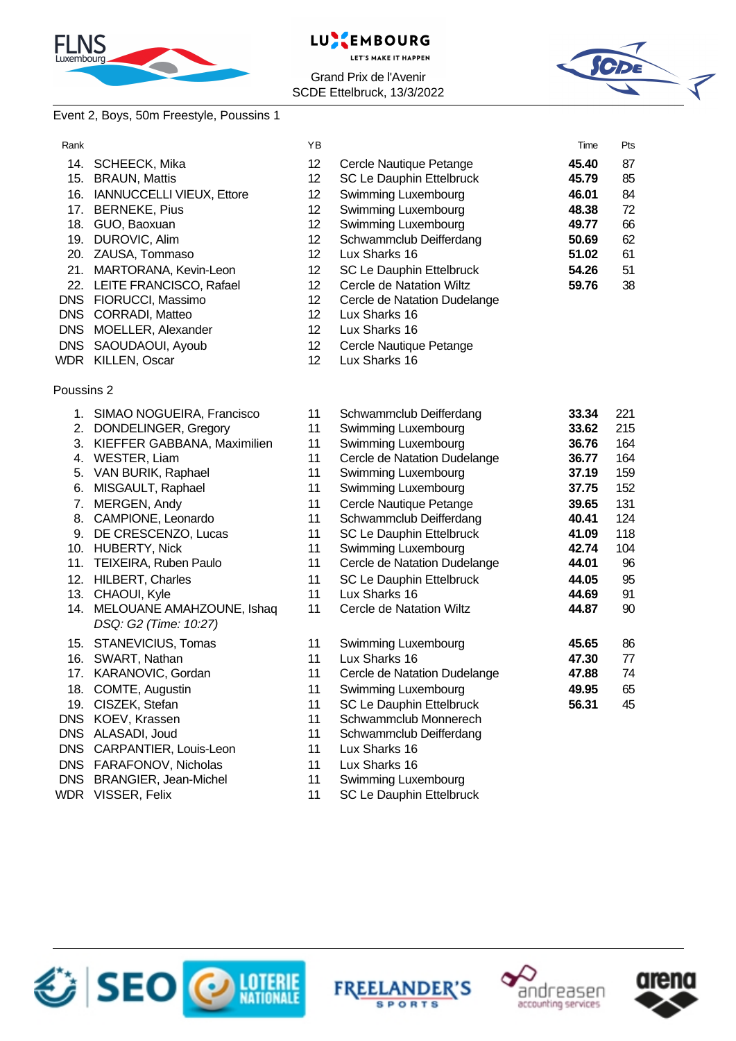



#### Grand Prix de l'Avenir SCDE Ettelbruck, 13/3/2022



## Event 2, Boys, 50m Freestyle, Poussins 1

| Rank       |                                | YB |                              | Time  | Pts |
|------------|--------------------------------|----|------------------------------|-------|-----|
| 14.        | SCHEECK, Mika                  | 12 | Cercle Nautique Petange      | 45.40 | 87  |
|            | 15. BRAUN, Mattis              | 12 | SC Le Dauphin Ettelbruck     | 45.79 | 85  |
|            | 16. IANNUCCELLI VIEUX, Ettore  | 12 | Swimming Luxembourg          | 46.01 | 84  |
|            | 17. BERNEKE, Pius              | 12 | Swimming Luxembourg          | 48.38 | 72  |
|            | 18. GUO, Baoxuan               | 12 | Swimming Luxembourg          | 49.77 | 66  |
|            | 19. DUROVIC, Alim              | 12 | Schwammclub Deifferdang      | 50.69 | 62  |
|            | 20. ZAUSA, Tommaso             | 12 | Lux Sharks 16                | 51.02 | 61  |
|            | 21. MARTORANA, Kevin-Leon      | 12 | SC Le Dauphin Ettelbruck     | 54.26 | 51  |
|            | 22. LEITE FRANCISCO, Rafael    | 12 | Cercle de Natation Wiltz     | 59.76 | 38  |
|            | DNS FIORUCCI, Massimo          | 12 | Cercle de Natation Dudelange |       |     |
|            | DNS CORRADI, Matteo            | 12 | Lux Sharks 16                |       |     |
|            | DNS MOELLER, Alexander         | 12 | Lux Sharks 16                |       |     |
| <b>DNS</b> | SAOUDAOUI, Ayoub               | 12 | Cercle Nautique Petange      |       |     |
|            | WDR KILLEN, Oscar              | 12 | Lux Sharks 16                |       |     |
| Poussins 2 |                                |    |                              |       |     |
|            | 1. SIMAO NOGUEIRA, Francisco   | 11 | Schwammclub Deifferdang      | 33.34 | 221 |
| 2.         | DONDELINGER, Gregory           | 11 | Swimming Luxembourg          | 33.62 | 215 |
|            | 3. KIEFFER GABBANA, Maximilien | 11 | Swimming Luxembourg          | 36.76 | 164 |
| 4.         | WESTER, Liam                   | 11 | Cercle de Natation Dudelange | 36.77 | 164 |
| 5.         | VAN BURIK, Raphael             | 11 | Swimming Luxembourg          | 37.19 | 159 |
| 6.         | MISGAULT, Raphael              | 11 | Swimming Luxembourg          | 37.75 | 152 |
| 7.         | MERGEN, Andy                   | 11 | Cercle Nautique Petange      | 39.65 | 131 |
| 8.         | CAMPIONE, Leonardo             | 11 | Schwammclub Deifferdang      | 40.41 | 124 |
| 9.         | DE CRESCENZO, Lucas            | 11 | SC Le Dauphin Ettelbruck     | 41.09 | 118 |
|            | 10. HUBERTY, Nick              | 11 | Swimming Luxembourg          | 42.74 | 104 |
|            | 11. TEIXEIRA, Ruben Paulo      | 11 | Cercle de Natation Dudelange | 44.01 | 96  |
|            | 12. HILBERT, Charles           | 11 | SC Le Dauphin Ettelbruck     | 44.05 | 95  |
|            | 13. CHAOUI, Kyle               | 11 | Lux Sharks 16                | 44.69 | 91  |
|            | 14. MELOUANE AMAHZOUNE, Ishaq  | 11 | Cercle de Natation Wiltz     | 44.87 | 90  |
|            | DSQ: G2 (Time: 10:27)          |    |                              |       |     |
|            | 15. STANEVICIUS, Tomas         | 11 | Swimming Luxembourg          | 45.65 | 86  |
| 16.        | SWART, Nathan                  | 11 | Lux Sharks 16                | 47.30 | 77  |
| 17.        | KARANOVIC, Gordan              | 11 | Cercle de Natation Dudelange | 47.88 | 74  |
|            | 18. COMTE, Augustin            | 11 | Swimming Luxembourg          | 49.95 | 65  |
|            | 19. CISZEK, Stefan             | 11 | SC Le Dauphin Ettelbruck     | 56.31 | 45  |
|            | DNS KOEV, Krassen              | 11 | Schwammclub Monnerech        |       |     |
|            | DNS ALASADI, Joud              | 11 | Schwammclub Deifferdang      |       |     |
| <b>DNS</b> | CARPANTIER, Louis-Leon         | 11 | Lux Sharks 16                |       |     |
|            | DNS FARAFONOV, Nicholas        | 11 | Lux Sharks 16                |       |     |
|            | DNS BRANGIER, Jean-Michel      | 11 | Swimming Luxembourg          |       |     |

WDR VISSER, Felix 11 SC Le Dauphin Ettelbruck





Splash Meet Manager, 11.72268 Registered to Swimming Club Le Dauphin Ettelbruck 13/03/2022 17:35 - Page 2022 1



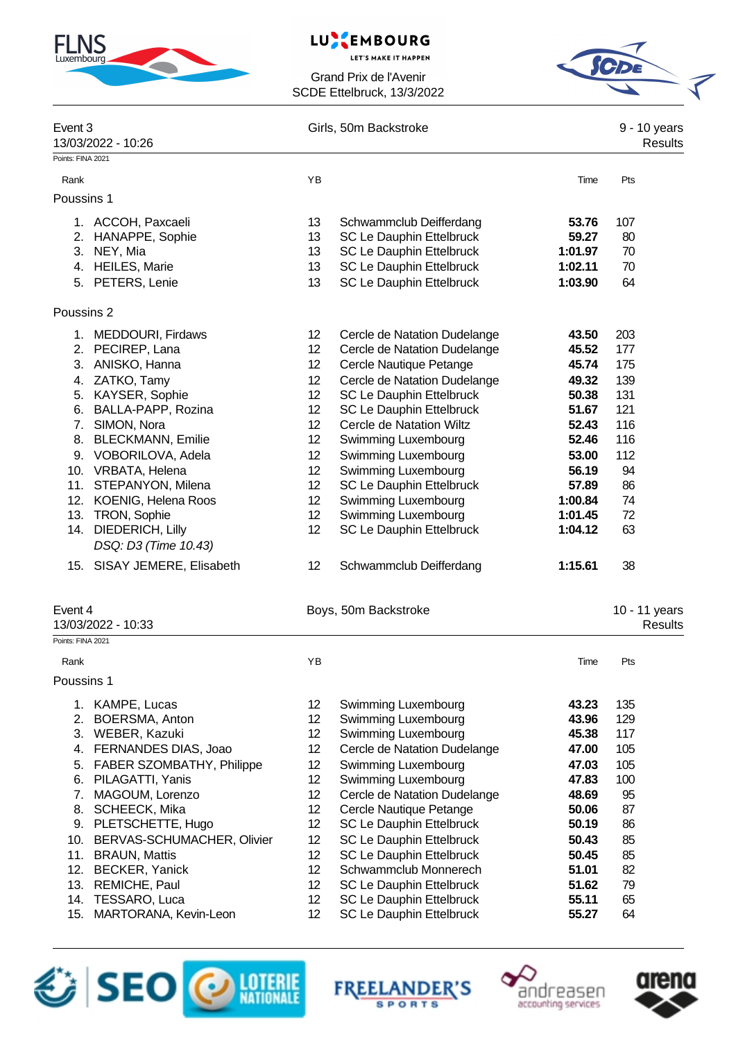

#### **EMBOURG** LU

**LET'S MAKE IT HAPPEN** 

Grand Prix de l'Avenir SCDE Ettelbruck, 13/3/2022



| Event 3           |                                                    |                                    | Girls, 50m Backstroke                                |                    |                                |  |  |
|-------------------|----------------------------------------------------|------------------------------------|------------------------------------------------------|--------------------|--------------------------------|--|--|
|                   | 13/03/2022 - 10:26                                 |                                    |                                                      |                    | 9 - 10 years<br><b>Results</b> |  |  |
| Points: FINA 2021 |                                                    |                                    |                                                      |                    |                                |  |  |
| Rank              |                                                    | YB                                 |                                                      | Time               | Pts                            |  |  |
| Poussins 1        |                                                    |                                    |                                                      |                    |                                |  |  |
|                   |                                                    |                                    |                                                      |                    |                                |  |  |
|                   | 1. ACCOH, Paxcaeli                                 | 13<br>13                           | Schwammclub Deifferdang<br>SC Le Dauphin Ettelbruck  | 53.76<br>59.27     | 107<br>80                      |  |  |
| 3.                | 2. HANAPPE, Sophie<br>NEY, Mia                     | 13                                 | SC Le Dauphin Ettelbruck                             | 1:01.97            | 70                             |  |  |
|                   | 4. HEILES, Marie                                   | 13                                 | SC Le Dauphin Ettelbruck                             | 1:02.11            | 70                             |  |  |
| 5.                | PETERS, Lenie                                      | 13                                 | SC Le Dauphin Ettelbruck                             | 1:03.90            | 64                             |  |  |
|                   |                                                    |                                    |                                                      |                    |                                |  |  |
| Poussins 2        |                                                    |                                    |                                                      |                    |                                |  |  |
|                   | 1. MEDDOURI, Firdaws                               | 12                                 | Cercle de Natation Dudelange                         | 43.50              | 203                            |  |  |
|                   | 2. PECIREP, Lana                                   | 12                                 | Cercle de Natation Dudelange                         | 45.52              | 177                            |  |  |
| 3.                | ANISKO, Hanna                                      | 12                                 | Cercle Nautique Petange                              | 45.74              | 175                            |  |  |
| 4.                | ZATKO, Tamy                                        | 12 <sup>°</sup>                    | Cercle de Natation Dudelange                         | 49.32              | 139                            |  |  |
| 5.                | KAYSER, Sophie                                     | 12 <sup>°</sup>                    | SC Le Dauphin Ettelbruck                             | 50.38              | 131                            |  |  |
| 6.                | BALLA-PAPP, Rozina                                 | 12 <sup>°</sup>                    | SC Le Dauphin Ettelbruck                             | 51.67              | 121                            |  |  |
| 7.                | SIMON, Nora                                        | 12 <sup>°</sup>                    | Cercle de Natation Wiltz                             | 52.43              | 116                            |  |  |
| 8.                | <b>BLECKMANN, Emilie</b>                           | 12 <sup>°</sup>                    | Swimming Luxembourg                                  | 52.46              | 116                            |  |  |
|                   | 9. VOBORILOVA, Adela                               | 12                                 | Swimming Luxembourg                                  | 53.00              | 112                            |  |  |
|                   | 10. VRBATA, Helena                                 | 12 <sup>°</sup>                    | Swimming Luxembourg                                  | 56.19              | 94                             |  |  |
| 11.               | STEPANYON, Milena                                  | 12                                 | SC Le Dauphin Ettelbruck                             | 57.89              | 86                             |  |  |
| 12.               | KOENIG, Helena Roos<br>13. TRON, Sophie            | 12<br>12 <sup>°</sup>              | Swimming Luxembourg<br>Swimming Luxembourg           | 1:00.84<br>1:01.45 | 74<br>72                       |  |  |
| 14.               | DIEDERICH, Lilly                                   | 12 <sup>2</sup>                    | SC Le Dauphin Ettelbruck                             | 1:04.12            | 63                             |  |  |
|                   | DSQ: D3 (Time 10.43)                               |                                    |                                                      |                    |                                |  |  |
| 15.               | SISAY JEMERE, Elisabeth                            | 12                                 | Schwammclub Deifferdang                              | 1:15.61            | 38                             |  |  |
|                   |                                                    |                                    |                                                      |                    |                                |  |  |
| Event 4           |                                                    |                                    | Boys, 50m Backstroke                                 |                    | 10 - 11 years                  |  |  |
|                   | 13/03/2022 - 10:33                                 |                                    |                                                      |                    | <b>Results</b>                 |  |  |
| Points: FINA 2021 |                                                    |                                    |                                                      |                    |                                |  |  |
| Rank              |                                                    | ΥB                                 |                                                      | Time               | Pts                            |  |  |
| Poussins 1        |                                                    |                                    |                                                      |                    |                                |  |  |
|                   | 1. KAMPE, Lucas                                    | 12 <sub>2</sub>                    | <b>Swimming Luxembourg</b>                           | 43.23              | 135                            |  |  |
| 2.                | BOERSMA, Anton                                     | 12 <sup>°</sup>                    | Swimming Luxembourg                                  | 43.96              | 129                            |  |  |
|                   | 3. WEBER, Kazuki                                   | 12 <sup>°</sup>                    | Swimming Luxembourg                                  | 45.38              | 117                            |  |  |
| 4.                | FERNANDES DIAS, Joao                               | 12                                 | Cercle de Natation Dudelange                         | 47.00              | 105                            |  |  |
| 5.                | FABER SZOMBATHY, Philippe                          | 12 <sup>°</sup>                    | Swimming Luxembourg                                  | 47.03              | 105                            |  |  |
| 6.                | PILAGATTI, Yanis                                   | 12                                 | Swimming Luxembourg                                  | 47.83              | 100                            |  |  |
| 7.                | MAGOUM, Lorenzo                                    | 12 <sup>°</sup>                    | Cercle de Natation Dudelange                         | 48.69              | 95                             |  |  |
| 8.                | SCHEECK, Mika                                      | 12 <sup>°</sup>                    | Cercle Nautique Petange                              | 50.06              | 87                             |  |  |
| 9.                | PLETSCHETTE, Hugo                                  | 12                                 | SC Le Dauphin Ettelbruck                             | 50.19              | 86                             |  |  |
| 10.               | BERVAS-SCHUMACHER, Olivier<br><b>BRAUN, Mattis</b> | 12 <sub>2</sub><br>12 <sup>°</sup> | SC Le Dauphin Ettelbruck<br>SC Le Dauphin Ettelbruck | 50.43<br>50.45     | 85<br>85                       |  |  |
| 11.<br>12.        | <b>BECKER, Yanick</b>                              | 12 <sub>2</sub>                    | Schwammclub Monnerech                                | 51.01              | 82                             |  |  |
| 13.               | REMICHE, Paul                                      | 12 <sup>°</sup>                    | SC Le Dauphin Ettelbruck                             | 51.62              | 79                             |  |  |
| 14.               | TESSARO, Luca                                      | 12 <sub>2</sub>                    | SC Le Dauphin Ettelbruck                             | 55.11              | 65                             |  |  |

15. MARTORANA, Kevin-Leon 12 SC Le Dauphin Ettelbruck **55.27** 64







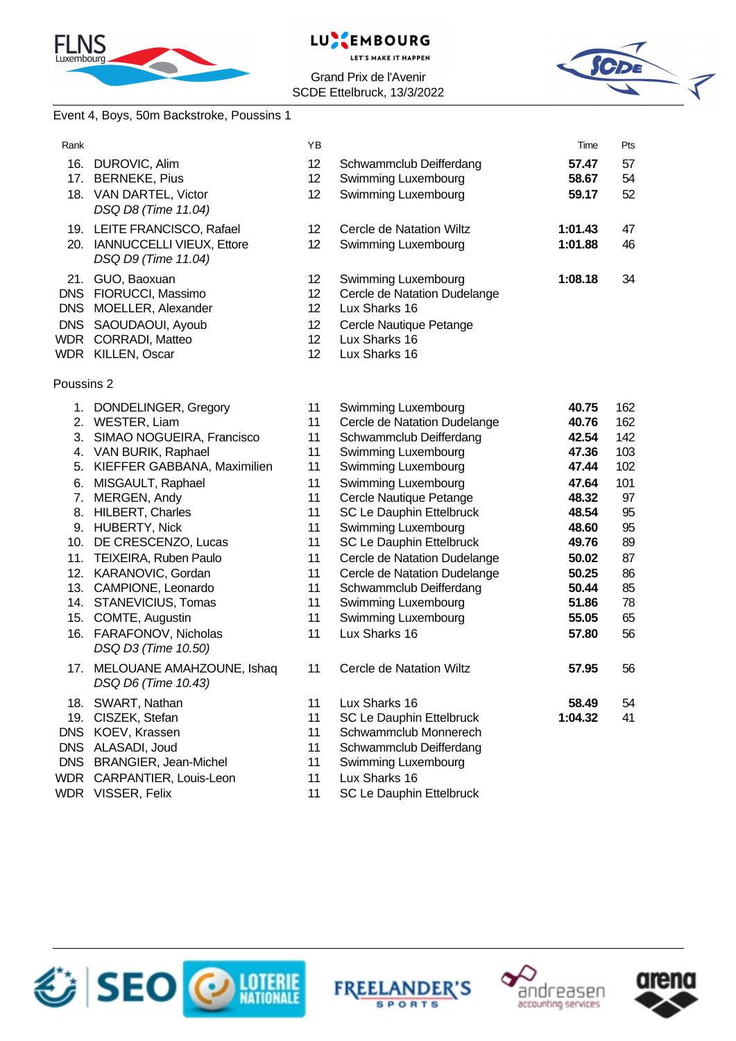



Grand Prix de l'Avenir SCDE Ettelbruck, 13/3/2022



# Event 4, Boys, 50m Backstroke, Poussins 1

| Rank           |                                          | YB              |                              | Time    | Pts |
|----------------|------------------------------------------|-----------------|------------------------------|---------|-----|
|                | 16. DUROVIC, Alim                        | 12 <sup>2</sup> | Schwammclub Deifferdang      | 57.47   | 57  |
|                | 17. BERNEKE, Pius                        | 12              | Swimming Luxembourg          | 58.67   | 54  |
|                | 18. VAN DARTEL, Victor                   | 12              | Swimming Luxembourg          | 59.17   | 52  |
|                | DSQ D8 (Time 11.04)                      |                 |                              |         |     |
|                | 19. LEITE FRANCISCO, Rafael              | 12              | Cercle de Natation Wiltz     | 1:01.43 | 47  |
|                | 20. IANNUCCELLI VIEUX, Ettore            | 12              | Swimming Luxembourg          | 1:01.88 | 46  |
|                | DSQ D9 (Time 11.04)                      |                 |                              |         |     |
|                | 21. GUO, Baoxuan                         | 12              | Swimming Luxembourg          | 1:08.18 | 34  |
|                | DNS FIORUCCI, Massimo                    | 12              | Cercle de Natation Dudelange |         |     |
|                | DNS MOELLER, Alexander                   | 12 <sup>2</sup> | Lux Sharks 16                |         |     |
|                | DNS SAOUDAOUI, Ayoub                     | 12 <sup>2</sup> | Cercle Nautique Petange      |         |     |
|                | WDR CORRADI, Matteo                      | 12 <sup>2</sup> | Lux Sharks 16                |         |     |
|                | WDR KILLEN, Oscar                        | 12 <sup>2</sup> | Lux Sharks 16                |         |     |
|                |                                          |                 |                              |         |     |
| Poussins 2     |                                          |                 |                              |         |     |
|                | 1. DONDELINGER, Gregory                  | 11              | Swimming Luxembourg          | 40.75   | 162 |
|                | 2. WESTER, Liam                          | 11              | Cercle de Natation Dudelange | 40.76   | 162 |
|                | 3. SIMAO NOGUEIRA, Francisco             | 11              | Schwammclub Deifferdang      | 42.54   | 142 |
|                | 4. VAN BURIK, Raphael                    | 11              | Swimming Luxembourg          | 47.36   | 103 |
|                | 5. KIEFFER GABBANA, Maximilien           | 11              | Swimming Luxembourg          | 47.44   | 102 |
|                | 6. MISGAULT, Raphael                     | 11              | Swimming Luxembourg          | 47.64   | 101 |
|                | 7. MERGEN, Andy                          | 11              | Cercle Nautique Petange      | 48.32   | 97  |
|                | 8. HILBERT, Charles                      | 11              | SC Le Dauphin Ettelbruck     | 48.54   | 95  |
|                | 9. HUBERTY, Nick                         | 11              | Swimming Luxembourg          | 48.60   | 95  |
|                | 10. DE CRESCENZO, Lucas                  | 11              | SC Le Dauphin Ettelbruck     | 49.76   | 89  |
|                | 11. TEIXEIRA, Ruben Paulo                | 11              | Cercle de Natation Dudelange | 50.02   | 87  |
|                | 12. KARANOVIC, Gordan                    | 11              | Cercle de Natation Dudelange | 50.25   | 86  |
|                | 13. CAMPIONE, Leonardo                   | 11              | Schwammclub Deifferdang      | 50.44   | 85  |
|                | 14. STANEVICIUS, Tomas                   | 11              | Swimming Luxembourg          | 51.86   | 78  |
|                | 15. COMTE, Augustin                      | 11              | Swimming Luxembourg          | 55.05   | 65  |
| 16.            | FARAFONOV, Nicholas                      | 11              | Lux Sharks 16                | 57.80   | 56  |
|                | DSQ D3 (Time 10.50)                      |                 |                              |         |     |
| 17.            | MELOUANE AMAHZOUNE, Ishaq                | 11              | Cercle de Natation Wiltz     | 57.95   | 56  |
|                | DSQ D6 (Time 10.43)                      |                 |                              |         |     |
| 18.            | SWART, Nathan                            | 11              | Lux Sharks 16                | 58.49   | 54  |
| 19.            | CISZEK, Stefan                           | 11              | SC Le Dauphin Ettelbruck     | 1:04.32 | 41  |
|                | DNS KOEV, Krassen                        | 11              | Schwammclub Monnerech        |         |     |
|                | DNS ALASADI, Joud                        | 11              | Schwammclub Deifferdang      |         |     |
| $\overline{M}$ | DNS BRANGIER, Jean-Michel<br>OMOMETED 1. | 11              | Swimming Luxembourg          |         |     |
|                |                                          |                 |                              |         |     |

- WDR CARPANTIER, Louis-Leon 11 Lux Sharks 16<br>
WDR VISSER, Felix 11 SC Le Dauphir
- 

11 SC Le Dauphin Ettelbruck









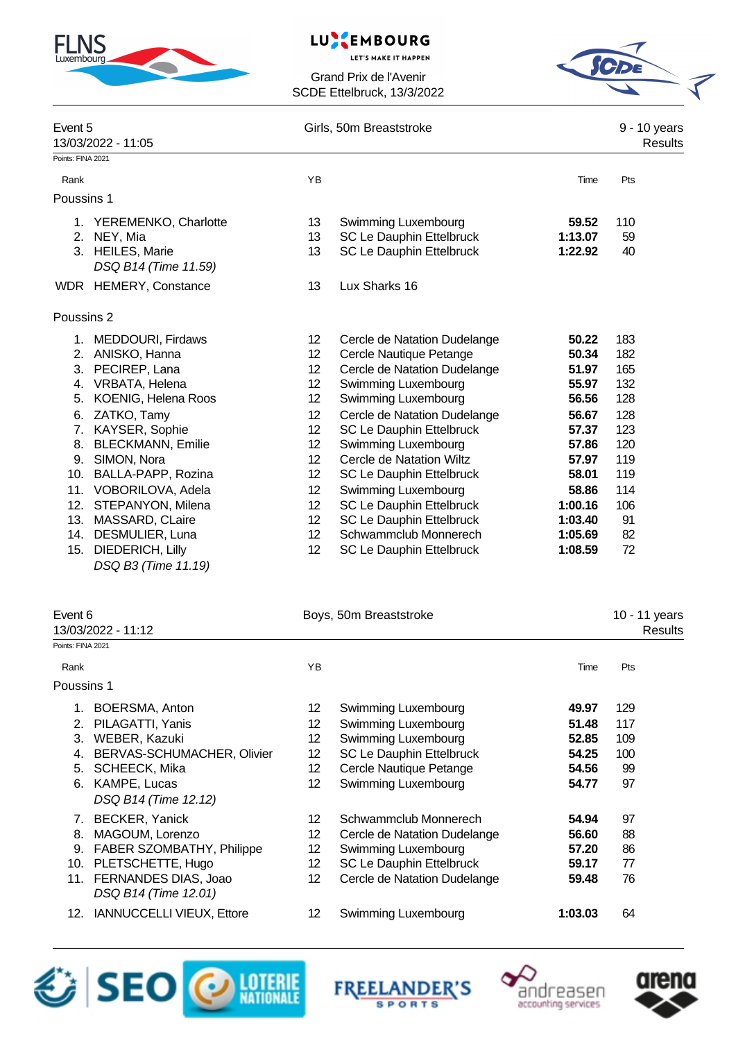

# LUSEMBOURG

**LET'S MAKE IT HAPPEN** 



| Event 5           | 13/03/2022 - 11:05                       |                 | Girls, 50m Breaststroke         |         |     |  |  |
|-------------------|------------------------------------------|-----------------|---------------------------------|---------|-----|--|--|
| Points: FINA 2021 |                                          |                 |                                 |         |     |  |  |
| Rank              |                                          | YB              |                                 | Time    | Pts |  |  |
| Poussins 1        |                                          |                 |                                 |         |     |  |  |
|                   | 1. YEREMENKO, Charlotte                  | 13              | Swimming Luxembourg             | 59.52   | 110 |  |  |
|                   | 2. NEY, Mia                              | 13              | SC Le Dauphin Ettelbruck        | 1:13.07 | 59  |  |  |
|                   | 3. HEILES, Marie<br>DSQ B14 (Time 11.59) | 13              | SC Le Dauphin Ettelbruck        | 1:22.92 | 40  |  |  |
|                   | WDR HEMERY, Constance                    | 13              | Lux Sharks 16                   |         |     |  |  |
| Poussins 2        |                                          |                 |                                 |         |     |  |  |
|                   | 1. MEDDOURI, Firdaws                     | 12 <sup>°</sup> | Cercle de Natation Dudelange    | 50.22   | 183 |  |  |
|                   | 2. ANISKO, Hanna                         | 12              | Cercle Nautique Petange         | 50.34   | 182 |  |  |
| 3.                | PECIREP, Lana                            | 12 <sup>°</sup> | Cercle de Natation Dudelange    | 51.97   | 165 |  |  |
| 4.                | VRBATA, Helena                           | 12 <sup>°</sup> | Swimming Luxembourg             | 55.97   | 132 |  |  |
| 5.                | KOENIG, Helena Roos                      | 12 <sup>°</sup> | Swimming Luxembourg             | 56.56   | 128 |  |  |
| 6.                | ZATKO, Tamy                              | 12              | Cercle de Natation Dudelange    | 56.67   | 128 |  |  |
| 7.                | KAYSER, Sophie                           | 12 <sup>°</sup> | SC Le Dauphin Ettelbruck        | 57.37   | 123 |  |  |
| 8.                | <b>BLECKMANN, Emilie</b>                 | 12 <sup>2</sup> | Swimming Luxembourg             | 57.86   | 120 |  |  |
| 9.                | SIMON, Nora                              | 12 <sup>°</sup> | Cercle de Natation Wiltz        | 57.97   | 119 |  |  |
| 10.               | BALLA-PAPP, Rozina                       | 12              | SC Le Dauphin Ettelbruck        | 58.01   | 119 |  |  |
| 11.               | VOBORILOVA, Adela                        | 12 <sub>2</sub> | Swimming Luxembourg             | 58.86   | 114 |  |  |
| 12.               | STEPANYON, Milena                        | 12              | SC Le Dauphin Ettelbruck        | 1:00.16 | 106 |  |  |
| 13.               | MASSARD, CLaire                          | 12 <sup>°</sup> | <b>SC Le Dauphin Ettelbruck</b> | 1:03.40 | 91  |  |  |
| 14.               | DESMULIER, Luna                          | 12 <sup>°</sup> | Schwammclub Monnerech           | 1:05.69 | 82  |  |  |
| 15.               | <b>DIEDERICH, Lilly</b>                  | 12 <sup>°</sup> | SC Le Dauphin Ettelbruck        | 1:08.59 | 72  |  |  |
|                   | DSQ B3 (Time 11.19)                      |                 |                                 |         |     |  |  |

| Event 6           |                                                  |     | Boys, 50m Breaststroke       |         |                |  |  |
|-------------------|--------------------------------------------------|-----|------------------------------|---------|----------------|--|--|
|                   | 13/03/2022 - 11:12                               |     |                              |         | <b>Results</b> |  |  |
| Points: FINA 2021 |                                                  |     |                              |         |                |  |  |
| Rank              |                                                  | YB  |                              | Time    | Pts            |  |  |
| Poussins 1        |                                                  |     |                              |         |                |  |  |
| 1.                | BOERSMA, Anton                                   | 12  | Swimming Luxembourg          | 49.97   | 129            |  |  |
| 2.                | PILAGATTI, Yanis                                 | 12  | Swimming Luxembourg          | 51.48   | 117            |  |  |
| 3.                | WEBER, Kazuki                                    | 12  | Swimming Luxembourg          | 52.85   | 109            |  |  |
| 4.                | BERVAS-SCHUMACHER, Olivier                       | 12  | SC Le Dauphin Ettelbruck     | 54.25   | 100            |  |  |
| 5.                | SCHEECK, Mika                                    | 12. | Cercle Nautique Petange      | 54.56   | 99             |  |  |
| 6.                | KAMPE, Lucas                                     | 12  | Swimming Luxembourg          | 54.77   | 97             |  |  |
|                   | DSQ B14 (Time 12.12)                             |     |                              |         |                |  |  |
| 7.                | BECKER, Yanick                                   | 12  | Schwammclub Monnerech        | 54.94   | 97             |  |  |
| 8.                | MAGOUM, Lorenzo                                  | 12  | Cercle de Natation Dudelange | 56.60   | 88             |  |  |
| 9.                | FABER SZOMBATHY, Philippe                        | 12  | Swimming Luxembourg          | 57.20   | 86             |  |  |
| 10.               | PLETSCHETTE, Hugo                                | 12  | SC Le Dauphin Ettelbruck     | 59.17   | 77             |  |  |
|                   | 11. FERNANDES DIAS, Joao<br>DSQ B14 (Time 12.01) | 12  | Cercle de Natation Dudelange | 59.48   | 76             |  |  |
| 12.               | <b>IANNUCCELLI VIEUX, Ettore</b>                 | 12  | Swimming Luxembourg          | 1:03.03 | 64             |  |  |







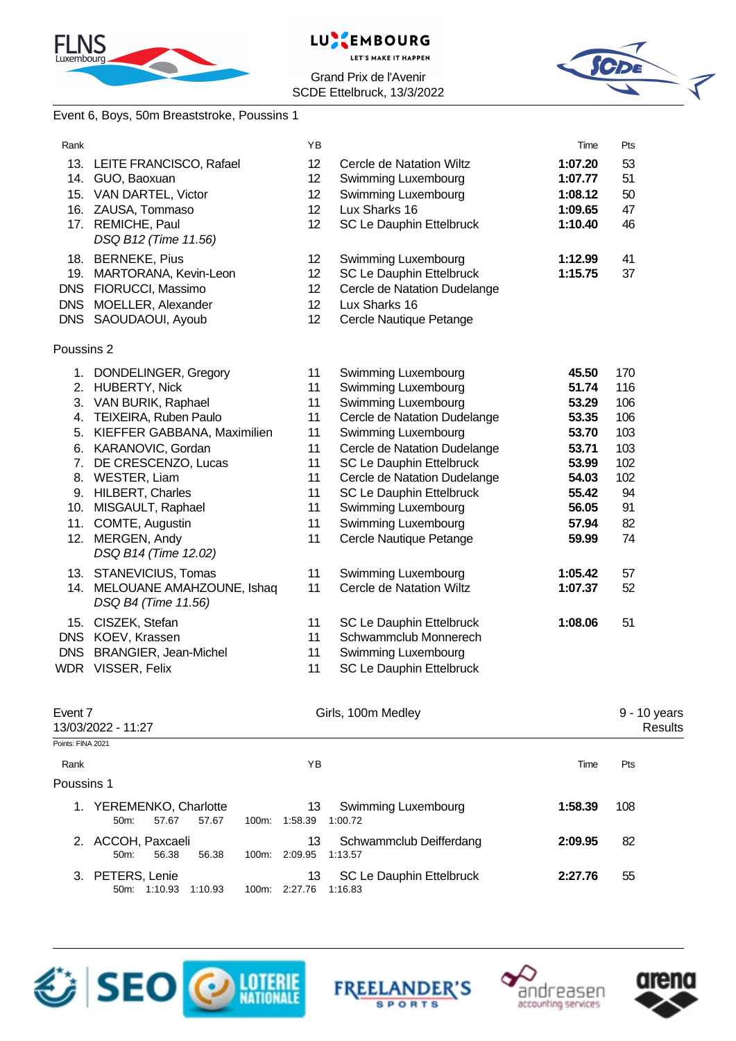



Grand Prix de l'Avenir SCDE Ettelbruck, 13/3/2022



## Event 6, Boys, 50m Breaststroke, Poussins 1

| Rank              |                                                      | YB                          |                                    | Time    | Pts                     |
|-------------------|------------------------------------------------------|-----------------------------|------------------------------------|---------|-------------------------|
|                   | 13. LEITE FRANCISCO, Rafael                          | 12                          | Cercle de Natation Wiltz           | 1:07.20 | 53                      |
|                   | 14. GUO, Baoxuan                                     | 12                          | Swimming Luxembourg                | 1:07.77 | 51                      |
|                   | 15. VAN DARTEL, Victor                               | 12                          | Swimming Luxembourg                | 1:08.12 | 50                      |
|                   | 16. ZAUSA, Tommaso                                   | 12 <sup>2</sup>             | Lux Sharks 16                      | 1:09.65 | 47                      |
|                   | 17. REMICHE, Paul                                    | 12 <sup>°</sup>             | SC Le Dauphin Ettelbruck           | 1:10.40 | 46                      |
|                   | DSQ B12 (Time 11.56)                                 |                             |                                    |         |                         |
|                   | 18. BERNEKE, Pius                                    | 12 <sup>°</sup>             | Swimming Luxembourg                | 1:12.99 | 41                      |
|                   | 19. MARTORANA, Kevin-Leon                            | 12 <sup>°</sup>             | SC Le Dauphin Ettelbruck           | 1:15.75 | 37                      |
|                   | DNS FIORUCCI, Massimo                                | 12                          | Cercle de Natation Dudelange       |         |                         |
| <b>DNS</b>        | MOELLER, Alexander                                   | 12 <sup>2</sup>             | Lux Sharks 16                      |         |                         |
|                   | DNS SAOUDAOUI, Ayoub                                 | 12                          | Cercle Nautique Petange            |         |                         |
| Poussins 2        |                                                      |                             |                                    |         |                         |
|                   | 1. DONDELINGER, Gregory                              | 11                          | Swimming Luxembourg                | 45.50   | 170                     |
|                   | 2. HUBERTY, Nick                                     | 11                          | Swimming Luxembourg                | 51.74   | 116                     |
|                   | 3. VAN BURIK, Raphael                                | 11                          | Swimming Luxembourg                | 53.29   | 106                     |
|                   | 4. TEIXEIRA, Ruben Paulo                             | 11                          | Cercle de Natation Dudelange       | 53.35   | 106                     |
| 5.                | KIEFFER GABBANA, Maximilien                          | 11                          | Swimming Luxembourg                | 53.70   | 103                     |
| 6.                | KARANOVIC, Gordan                                    | 11                          | Cercle de Natation Dudelange       | 53.71   | 103                     |
| 7.                | DE CRESCENZO, Lucas                                  | 11                          | SC Le Dauphin Ettelbruck           | 53.99   | 102                     |
|                   | 8. WESTER, Liam                                      | 11                          | Cercle de Natation Dudelange       | 54.03   | 102                     |
|                   | 9. HILBERT, Charles                                  | 11                          | SC Le Dauphin Ettelbruck           | 55.42   | 94                      |
|                   | 10. MISGAULT, Raphael                                | 11                          | Swimming Luxembourg                | 56.05   | 91                      |
|                   | 11. COMTE, Augustin                                  | 11                          | Swimming Luxembourg                | 57.94   | 82                      |
|                   | 12. MERGEN, Andy                                     | 11                          | Cercle Nautique Petange            | 59.99   | 74                      |
|                   | DSQ B14 (Time 12.02)                                 |                             |                                    |         |                         |
|                   | 13. STANEVICIUS, Tomas                               | 11                          | Swimming Luxembourg                | 1:05.42 | 57                      |
|                   | 14. MELOUANE AMAHZOUNE, Ishaq<br>DSQ B4 (Time 11.56) | 11                          | Cercle de Natation Wiltz           | 1:07.37 | 52                      |
|                   | 15. CISZEK, Stefan                                   | 11                          | SC Le Dauphin Ettelbruck           | 1:08.06 | 51                      |
|                   | DNS KOEV, Krassen                                    | 11                          | Schwammclub Monnerech              |         |                         |
| <b>DNS</b>        | <b>BRANGIER, Jean-Michel</b>                         | 11                          | Swimming Luxembourg                |         |                         |
|                   | WDR VISSER, Felix                                    | 11                          | SC Le Dauphin Ettelbruck           |         |                         |
|                   |                                                      |                             |                                    |         |                         |
| Event 7           | 13/03/2022 - 11:27                                   |                             | Girls, 100m Medley                 |         | 9 - 10 years<br>Results |
| Points: FINA 2021 |                                                      |                             |                                    |         |                         |
| Rank              |                                                      | ΥB                          |                                    | Time    | Pts                     |
| Poussins 1        |                                                      |                             |                                    |         |                         |
|                   | 1. YEREMENKO, Charlotte<br>57.67<br>57.67<br>50m:    | 13<br>100m: 1:58.39         | Swimming Luxembourg<br>1:00.72     | 1:58.39 | 108                     |
|                   | 2. ACCOH, Paxcaeli<br>50m:<br>56.38<br>56.38         | 13<br>100m: 2:09.95         | Schwammclub Deifferdang<br>1:13.57 | 2:09.95 | 82                      |
|                   | 3. PETERS, Lenie<br>50m: 1:10.93 1:10.93             | 13<br>100m: 2:27.76 1:16.83 | SC Le Dauphin Ettelbruck           | 2:27.76 | 55                      |







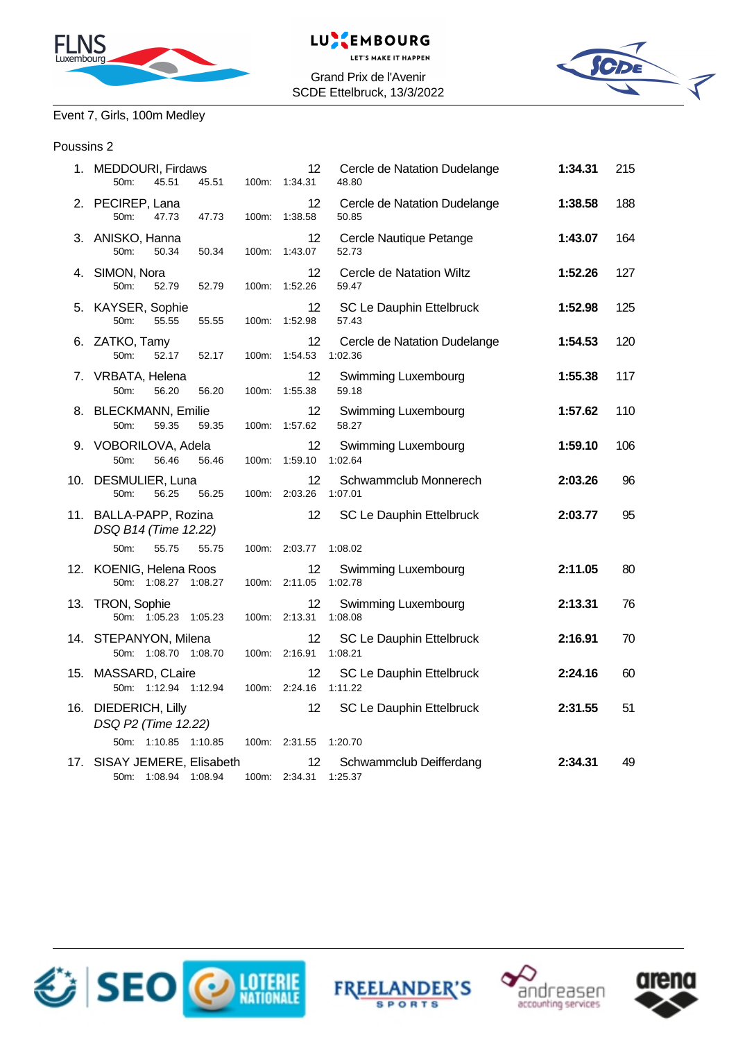



Grand Prix de l'Avenir SCDE Ettelbruck, 13/3/2022



# Event 7, Girls, 100m Medley

### Poussins 2

| 1. MEDDOURI, Firdaws<br>50m:<br>45.51<br>45.51      |       | 12<br>100m: 1:34.31          | Cercle de Natation Dudelange<br>48.80   | 1:34.31 | 215 |
|-----------------------------------------------------|-------|------------------------------|-----------------------------------------|---------|-----|
| 2. PECIREP, Lana<br>50m:<br>47.73<br>47.73          | 100m: | 12<br>1:38.58                | Cercle de Natation Dudelange<br>50.85   | 1:38.58 | 188 |
| 3. ANISKO, Hanna<br>50m:<br>50.34<br>50.34          | 100m: | 12<br>1:43.07                | Cercle Nautique Petange<br>52.73        | 1:43.07 | 164 |
| 4. SIMON, Nora<br>50m:<br>52.79<br>52.79            | 100m: | 12<br>1:52.26                | Cercle de Natation Wiltz<br>59.47       | 1:52.26 | 127 |
| 5. KAYSER, Sophie<br>50m:<br>55.55<br>55.55         | 100m: | 12<br>1:52.98                | SC Le Dauphin Ettelbruck<br>57.43       | 1:52.98 | 125 |
| 6. ZATKO, Tamy<br>50m:<br>52.17<br>52.17            | 100m: | 12<br>1:54.53                | Cercle de Natation Dudelange<br>1:02.36 | 1:54.53 | 120 |
| 7. VRBATA, Helena<br>56.20<br>50m:<br>56.20         | 100m: | 12<br>1:55.38                | Swimming Luxembourg<br>59.18            | 1:55.38 | 117 |
| 8. BLECKMANN, Emilie<br>50m:<br>59.35<br>59.35      | 100m: | 12<br>1:57.62                | <b>Swimming Luxembourg</b><br>58.27     | 1:57.62 | 110 |
| 9. VOBORILOVA, Adela<br>50m:<br>56.46<br>56.46      | 100m: | 12<br>1:59.10                | Swimming Luxembourg<br>1:02.64          | 1:59.10 | 106 |
| 10. DESMULIER, Luna<br>56.25<br>50m:<br>56.25       |       | 12<br>100m: 2:03.26          | Schwammclub Monnerech<br>1:07.01        | 2:03.26 | 96  |
| 11. BALLA-PAPP, Rozina<br>DSQ B14 (Time 12.22)      |       | 12                           | SC Le Dauphin Ettelbruck                | 2:03.77 | 95  |
| 50m:<br>55.75<br>55.75                              |       | 100m: 2:03.77                | 1:08.02                                 |         |     |
| 12. KOENIG, Helena Roos<br>50m: 1:08.27 1:08.27     | 100m: | 12<br>2:11.05                | Swimming Luxembourg<br>1:02.78          | 2:11.05 | 80  |
| 13. TRON, Sophie<br>50m: 1:05.23 1:05.23            |       | 12<br>100m: 2:13.31          | Swimming Luxembourg<br>1:08.08          | 2:13.31 | 76  |
| 14. STEPANYON, Milena<br>50m: 1:08.70 1:08.70       | 100m: | $12 \overline{ }$<br>2:16.91 | SC Le Dauphin Ettelbruck<br>1:08.21     | 2:16.91 | 70  |
| 15. MASSARD, CLaire<br>50m: 1:12.94 1:12.94         |       | 12<br>100m: 2:24.16          | SC Le Dauphin Ettelbruck<br>1:11.22     | 2:24.16 | 60  |
| 16. DIEDERICH, Lilly<br>DSQ P2 (Time 12.22)         |       | 12                           | SC Le Dauphin Ettelbruck                | 2:31.55 | 51  |
| 50m: 1:10.85 1:10.85                                |       | 100m: 2:31.55                | 1:20.70                                 |         |     |
| 17. SISAY JEMERE, Elisabeth<br>50m: 1:08.94 1:08.94 | 100m: | $12 \overline{ }$<br>2:34.31 | Schwammclub Deifferdang<br>1:25.37      | 2:34.31 | 49  |







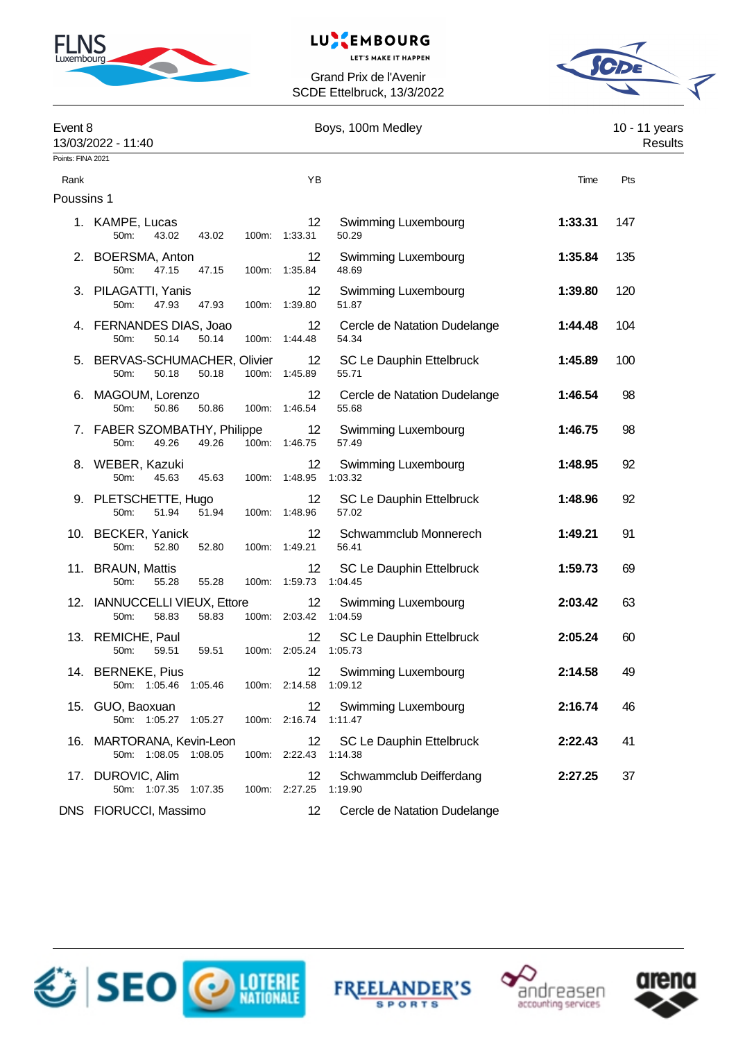

# LUXEMBOURG

**LET'S MAKE IT HAPPEN** 



| Event 8           | 13/03/2022 - 11:40                                      |                                            | Boys, 100m Medley                     |         | 10 - 11 years<br>Results |
|-------------------|---------------------------------------------------------|--------------------------------------------|---------------------------------------|---------|--------------------------|
| Points: FINA 2021 |                                                         |                                            |                                       |         |                          |
| Rank              |                                                         | YB                                         |                                       | Time    | Pts                      |
| Poussins 1        |                                                         |                                            |                                       |         |                          |
|                   | 1. KAMPE, Lucas<br>50m:<br>43.02<br>43.02               | 12 <sup>°</sup><br>100m: 1:33.31           | <b>Swimming Luxembourg</b><br>50.29   | 1:33.31 | 147                      |
|                   | 2. BOERSMA, Anton<br>50m:<br>47.15<br>47.15             | 12<br>100m: 1:35.84                        | Swimming Luxembourg<br>48.69          | 1:35.84 | 135                      |
|                   | 3. PILAGATTI, Yanis<br>50m:<br>47.93<br>47.93           | 12<br>100m: 1:39.80                        | Swimming Luxembourg<br>51.87          | 1:39.80 | 120                      |
|                   | 4. FERNANDES DIAS, Joao<br>50m:<br>50.14<br>50.14       | 12 <sup>°</sup><br>100m: 1:44.48           | Cercle de Natation Dudelange<br>54.34 | 1:44.48 | 104                      |
|                   | 5. BERVAS-SCHUMACHER, Olivier<br>50.18<br>50m:<br>50.18 | 12<br>100m: 1:45.89                        | SC Le Dauphin Ettelbruck<br>55.71     | 1:45.89 | 100                      |
|                   | 6. MAGOUM, Lorenzo<br>50m:<br>50.86<br>50.86            | 12 <sup>°</sup><br>100m: 1:46.54           | Cercle de Natation Dudelange<br>55.68 | 1:46.54 | 98                       |
|                   | 7. FABER SZOMBATHY, Philippe<br>49.26<br>50m:<br>49.26  | 12<br>100m: 1:46.75                        | <b>Swimming Luxembourg</b><br>57.49   | 1:46.75 | 98                       |
|                   | 8. WEBER, Kazuki<br>50m:<br>45.63<br>45.63              | 12<br>100m: 1:48.95                        | Swimming Luxembourg<br>1:03.32        | 1:48.95 | 92                       |
|                   | 9. PLETSCHETTE, Hugo<br>50m:<br>51.94<br>51.94          | 12 <sup>°</sup><br>100m: 1:48.96           | SC Le Dauphin Ettelbruck<br>57.02     | 1:48.96 | 92                       |
|                   | 10. BECKER, Yanick<br>50m:<br>52.80<br>52.80            | 12 <sup>°</sup><br>100m: 1:49.21           | Schwammclub Monnerech<br>56.41        | 1:49.21 | 91                       |
|                   | 11. BRAUN, Mattis<br>50m:<br>55.28<br>55.28             | 12<br>100m: 1:59.73                        | SC Le Dauphin Ettelbruck<br>1:04.45   | 1:59.73 | 69                       |
|                   | 12. IANNUCCELLI VIEUX, Ettore<br>50m:<br>58.83<br>58.83 | 12<br>100m: 2:03.42 1:04.59                | Swimming Luxembourg                   | 2:03.42 | 63                       |
|                   | 13. REMICHE, Paul<br>50m:<br>59.51<br>59.51             | 12<br>100m: 2:05.24 1:05.73                | SC Le Dauphin Ettelbruck              | 2:05.24 | 60                       |
|                   | 14. BERNEKE, Pius<br>50m: 1:05.46 1:05.46               | 100m: 2:14.58 1:09.12                      | 12 Swimming Luxembourg                | 2:14.58 | 49                       |
|                   | 15. GUO, Baoxuan<br>50m: 1:05.27 1:05.27                | 12<br>100m: 2:16.74                        | Swimming Luxembourg<br>1:11.47        | 2:16.74 | 46                       |
|                   | 16. MARTORANA, Kevin-Leon<br>50m: 1:08.05 1:08.05       | $12 \overline{ }$<br>100m: 2:22.43 1:14.38 | SC Le Dauphin Ettelbruck              | 2:22.43 | 41                       |
|                   | 17. DUROVIC, Alim<br>50m: 1:07.35 1:07.35               | 12<br>100m: 2:27.25 1:19.90                | Schwammclub Deifferdang               | 2:27.25 | 37                       |
|                   | DNS FIORUCCI, Massimo                                   | 12                                         | Cercle de Natation Dudelange          |         |                          |







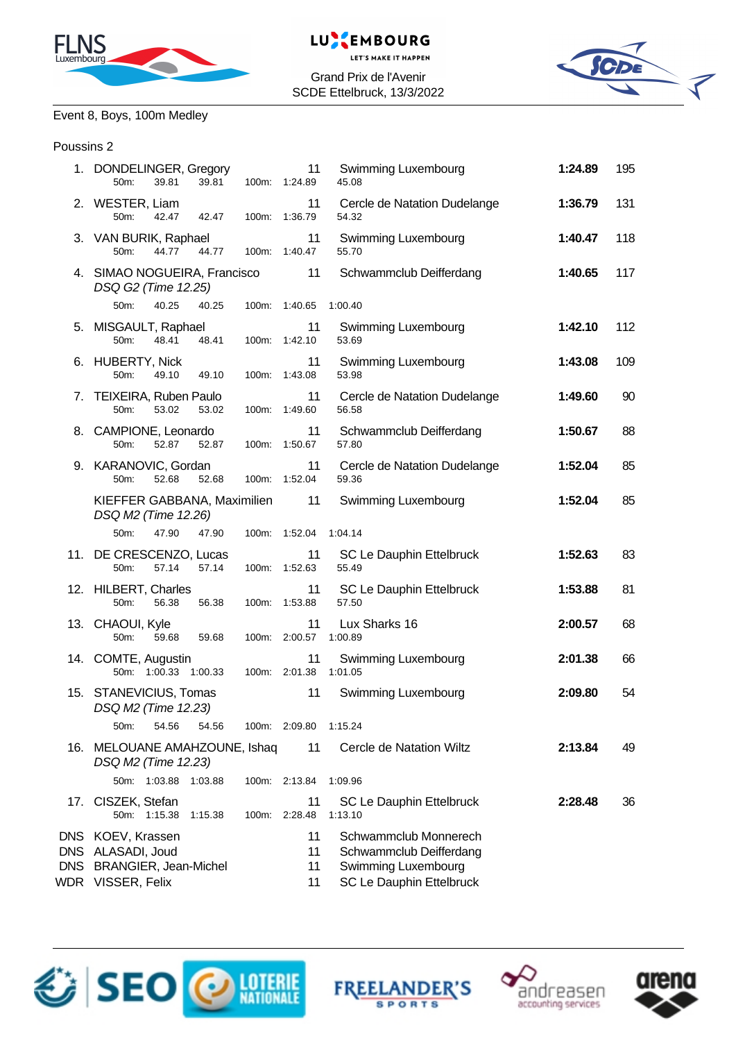



Grand Prix de l'Avenir SCDE Ettelbruck, 13/3/2022



# Event 8, Boys, 100m Medley

### Poussins 2

|                          | 1. DONDELINGER, Gregory<br>50m:<br>39.81<br>39.81                                | 11<br>100m: 1:24.89  | Swimming Luxembourg<br>45.08                                                                        | 1:24.89 | 195 |
|--------------------------|----------------------------------------------------------------------------------|----------------------|-----------------------------------------------------------------------------------------------------|---------|-----|
|                          | 2. WESTER, Liam<br>50m: 42.47 42.47                                              | 11<br>100m: 1:36.79  | Cercle de Natation Dudelange<br>54.32                                                               | 1:36.79 | 131 |
|                          | 3. VAN BURIK, Raphael<br>44.77<br>44.77<br>$50m$ :                               | 11<br>100m: 1:40.47  | <b>Swimming Luxembourg</b><br>55.70                                                                 | 1:40.47 | 118 |
|                          | 4. SIMAO NOGUEIRA, Francisco<br>DSQ G2 (Time 12.25)                              | 11                   | Schwammclub Deifferdang                                                                             | 1:40.65 | 117 |
|                          | 50m:<br>40.25<br>40.25                                                           | 100m: 1:40.65        | 1:00.40                                                                                             |         |     |
|                          | 5. MISGAULT, Raphael<br>50m:<br>48.41<br>48.41                                   | 11<br>100m: 1:42.10  | <b>Swimming Luxembourg</b><br>53.69                                                                 | 1:42.10 | 112 |
|                          | 6. HUBERTY, Nick<br>50m:<br>49.10<br>49.10                                       | 11<br>100m: 1:43.08  | <b>Swimming Luxembourg</b><br>53.98                                                                 | 1:43.08 | 109 |
|                          | 7. TEIXEIRA, Ruben Paulo<br>50m:<br>53.02<br>53.02                               | 11<br>100m: 1:49.60  | Cercle de Natation Dudelange<br>56.58                                                               | 1:49.60 | 90  |
|                          | 8. CAMPIONE, Leonardo<br>52.87<br>52.87<br>$50m$ :                               | 11<br>100m: 1:50.67  | Schwammclub Deifferdang<br>57.80                                                                    | 1:50.67 | 88  |
|                          | 9. KARANOVIC, Gordan<br>52.68<br>52.68<br>50 <sub>m</sub> :                      | 11<br>100m: 1:52.04  | Cercle de Natation Dudelange<br>59.36                                                               | 1:52.04 | 85  |
|                          | KIEFFER GABBANA, Maximilien 11<br>DSQ M2 (Time 12.26)                            |                      | <b>Swimming Luxembourg</b>                                                                          | 1:52.04 | 85  |
|                          | 50m:<br>47.90<br>47.90                                                           | 100m: 1:52.04        | 1:04.14                                                                                             |         |     |
|                          | 11. DE CRESCENZO, Lucas<br>50m:<br>57.14<br>57.14                                | 11<br>100m: 1:52.63  | SC Le Dauphin Ettelbruck<br>55.49                                                                   | 1:52.63 | 83  |
|                          | 12. HILBERT, Charles<br>50m:<br>56.38<br>56.38                                   | 11<br>100m: 1:53.88  | SC Le Dauphin Ettelbruck<br>57.50                                                                   | 1:53.88 | 81  |
|                          | 13. CHAOUI, Kyle<br>50m:<br>59.68<br>59.68                                       | 11<br>100m: 2:00.57  | Lux Sharks 16<br>1:00.89                                                                            | 2:00.57 | 68  |
|                          | 14. COMTE, Augustin<br>50m: 1:00.33 1:00.33                                      | 11<br>100m: 2:01.38  | Swimming Luxembourg<br>1:01.05                                                                      | 2:01.38 | 66  |
|                          | 15. STANEVICIUS, Tomas<br>DSQ M2 (Time 12.23)                                    | 11                   | <b>Swimming Luxembourg</b>                                                                          | 2:09.80 | 54  |
|                          | 50m:<br>54.56<br>54.56                                                           | 100m: 2:09.80        | 1:15.24                                                                                             |         |     |
|                          | 16. MELOUANE AMAHZOUNE, Ishaq<br>DSQ M2 (Time 12.23)                             | 11                   | Cercle de Natation Wiltz                                                                            | 2:13.84 | 49  |
|                          | 50m: 1:03.88<br>1:03.88                                                          | 100m: 2:13.84        | 1:09.96                                                                                             |         |     |
| 17.                      | CISZEK, Stefan<br>50m: 1:15.38<br>1:15.38                                        | 11<br>100m: 2:28.48  | <b>SC Le Dauphin Ettelbruck</b><br>1:13.10                                                          | 2:28.48 | 36  |
| <b>DNS</b><br><b>DNS</b> | DNS KOEV, Krassen<br>ALASADI, Joud<br>BRANGIER, Jean-Michel<br>WDR VISSER, Felix | 11<br>11<br>11<br>11 | Schwammclub Monnerech<br>Schwammclub Deifferdang<br>Swimming Luxembourg<br>SC Le Dauphin Ettelbruck |         |     |







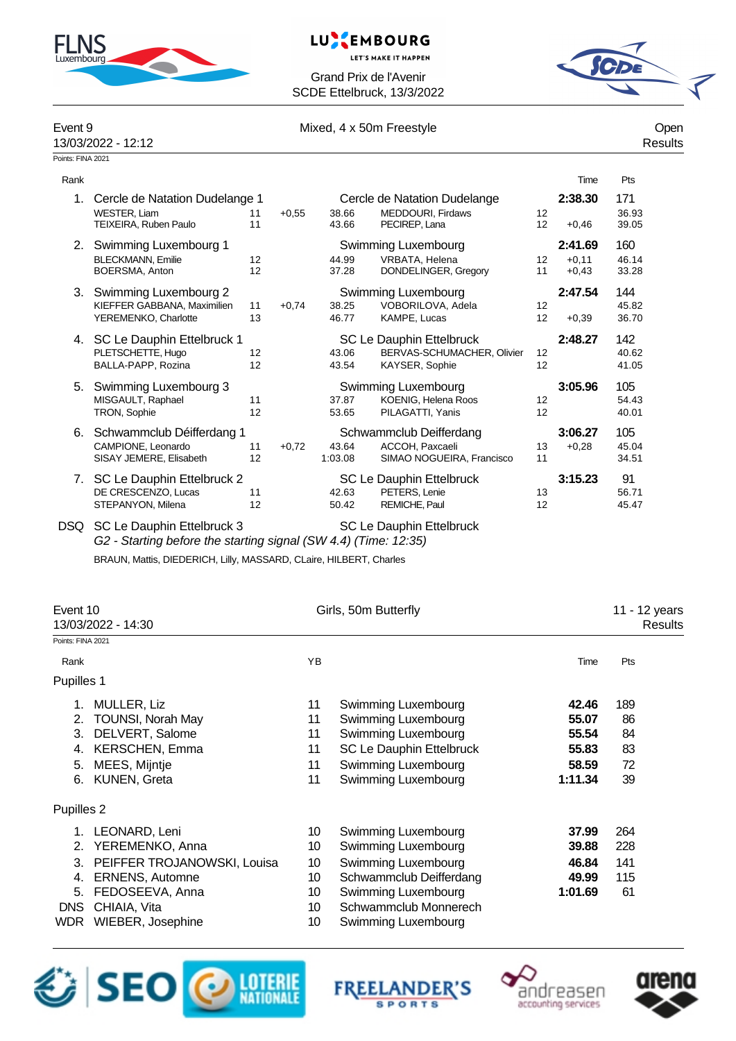





| Event 9<br>13/03/2022 - 12:12 |                                                                                                                                                                     |          |         | Mixed, 4 x 50m Freestyle | Open<br>Results                                                                 |          |                               |                       |
|-------------------------------|---------------------------------------------------------------------------------------------------------------------------------------------------------------------|----------|---------|--------------------------|---------------------------------------------------------------------------------|----------|-------------------------------|-----------------------|
| Points: FINA 2021             |                                                                                                                                                                     |          |         |                          |                                                                                 |          |                               |                       |
| Rank                          |                                                                                                                                                                     |          |         |                          |                                                                                 |          | Time                          | Pts                   |
| 1.                            | Cercle de Natation Dudelange 1<br><b>WESTER, Liam</b><br>TEIXEIRA, Ruben Paulo                                                                                      | 11<br>11 | $+0,55$ | 38.66<br>43.66           | Cercle de Natation Dudelange<br>MEDDOURI, Firdaws<br>PECIREP, Lana              | 12<br>12 | 2:38.30<br>$+0.46$            | 171<br>36.93<br>39.05 |
|                               | 2. Swimming Luxembourg 1<br><b>BLECKMANN, Emilie</b><br>BOERSMA, Anton                                                                                              | 12<br>12 |         | 44.99<br>37.28           | Swimming Luxembourg<br>VRBATA, Helena<br>DONDELINGER, Gregory                   | 12<br>11 | 2:41.69<br>$+0,11$<br>$+0,43$ | 160<br>46.14<br>33.28 |
|                               | 3. Swimming Luxembourg 2<br>KIEFFER GABBANA, Maximilien<br>YEREMENKO, Charlotte                                                                                     | 11<br>13 | $+0,74$ | 38.25<br>46.77           | Swimming Luxembourg<br>VOBORILOVA, Adela<br>KAMPE, Lucas                        | 12<br>12 | 2:47.54<br>$+0,39$            | 144<br>45.82<br>36.70 |
|                               | 4. SC Le Dauphin Ettelbruck 1<br>PLETSCHETTE, Hugo<br>BALLA-PAPP, Rozina                                                                                            | 12<br>12 |         | 43.06<br>43.54           | <b>SC Le Dauphin Ettelbruck</b><br>BERVAS-SCHUMACHER, Olivier<br>KAYSER, Sophie | 12<br>12 | 2:48.27                       | 142<br>40.62<br>41.05 |
| 5.                            | Swimming Luxembourg 3<br>MISGAULT, Raphael<br>TRON, Sophie                                                                                                          | 11<br>12 |         | 37.87<br>53.65           | Swimming Luxembourg<br>KOENIG, Helena Roos<br>PILAGATTI, Yanis                  | 12<br>12 | 3:05.96                       | 105<br>54.43<br>40.01 |
| 6.                            | Schwammclub Déifferdang 1<br>CAMPIONE. Leonardo<br>SISAY JEMERE, Elisabeth                                                                                          | 11<br>12 | $+0.72$ | 43.64<br>1:03.08         | Schwammclub Deifferdang<br>ACCOH. Paxcaeli<br>SIMAO NOGUEIRA, Francisco         | 13<br>11 | 3:06.27<br>$+0,28$            | 105<br>45.04<br>34.51 |
|                               | 7. SC Le Dauphin Ettelbruck 2<br>DE CRESCENZO, Lucas<br>STEPANYON, Milena                                                                                           | 11<br>12 |         | 42.63<br>50.42           | SC Le Dauphin Ettelbruck<br>PETERS, Lenie<br>REMICHE, Paul                      | 13<br>12 | 3:15.23                       | 91<br>56.71<br>45.47  |
| <b>DSQ</b>                    | SC Le Dauphin Ettelbruck 3<br>G2 - Starting before the starting signal (SW 4.4) (Time: 12:35)<br>BRAUN, Mattis, DIEDERICH, Lilly, MASSARD, CLaire, HILBERT, Charles |          |         |                          | <b>SC Le Dauphin Ettelbruck</b>                                                 |          |                               |                       |

| Event 10           |                             | Girls, 50m Butterfly | 11 - 12 years            |         |                |
|--------------------|-----------------------------|----------------------|--------------------------|---------|----------------|
| 13/03/2022 - 14:30 |                             |                      |                          |         | <b>Results</b> |
| Points: FINA 2021  |                             |                      |                          |         |                |
| Rank               |                             | YB                   |                          | Time    | Pts            |
| Pupilles 1         |                             |                      |                          |         |                |
|                    | MULLER, Liz                 | 11                   | Swimming Luxembourg      | 42.46   | 189            |
| 2.                 | <b>TOUNSI, Norah May</b>    | 11                   | Swimming Luxembourg      | 55.07   | 86             |
| 3.                 | DELVERT, Salome             | 11                   | Swimming Luxembourg      | 55.54   | 84             |
| 4.                 | <b>KERSCHEN, Emma</b>       | 11                   | SC Le Dauphin Ettelbruck | 55.83   | 83             |
| 5.                 | MEES, Mijntje               | 11                   | Swimming Luxembourg      | 58.59   | 72             |
| 6.                 | <b>KUNEN, Greta</b>         | 11                   | Swimming Luxembourg      | 1:11.34 | 39             |
| Pupilles 2         |                             |                      |                          |         |                |
| 1.                 | LEONARD, Leni               | 10                   | Swimming Luxembourg      | 37.99   | 264            |
| 2.                 | YEREMENKO, Anna             | 10                   | Swimming Luxembourg      | 39.88   | 228            |
| 3.                 | PEIFFER TROJANOWSKI, Louisa | 10                   | Swimming Luxembourg      | 46.84   | 141            |
| 4.                 | <b>ERNENS, Automne</b>      | 10                   | Schwammclub Deifferdang  | 49.99   | 115            |
| 5.                 | FEDOSEEVA, Anna             | 10                   | Swimming Luxembourg      | 1:01.69 | 61             |
| <b>DNS</b>         | CHIAIA, Vita                | 10                   | Schwammclub Monnerech    |         |                |
|                    | WDR WIEBER, Josephine       | 10                   | Swimming Luxembourg      |         |                |







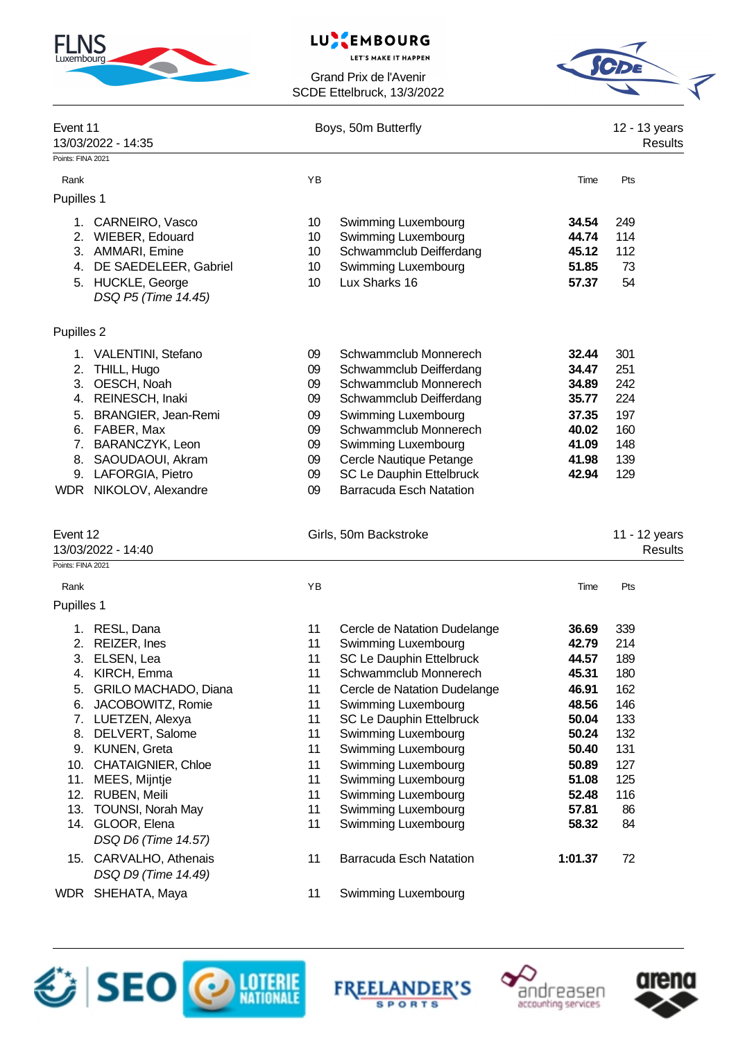| <b>FLNS</b> |  |
|-------------|--|
|             |  |

# LUXEMBOURG

**LET'S MAKE IT HAPPEN** 



| Event 11<br>13/03/2022 - 14:35 |                                          | Boys, 50m Butterfly | 12 - 13 years<br><b>Results</b>            |                |                                 |
|--------------------------------|------------------------------------------|---------------------|--------------------------------------------|----------------|---------------------------------|
| Points: FINA 2021              |                                          |                     |                                            |                |                                 |
| Rank                           |                                          | YB                  |                                            | Time           | Pts                             |
| Pupilles 1                     |                                          |                     |                                            |                |                                 |
|                                | 1. CARNEIRO, Vasco                       | 10                  | Swimming Luxembourg                        | 34.54          | 249                             |
|                                | 2. WIEBER, Edouard                       | 10                  | Swimming Luxembourg                        | 44.74          | 114                             |
|                                | 3. AMMARI, Emine                         | 10                  | Schwammclub Deifferdang                    | 45.12          | 112                             |
| 4.                             | DE SAEDELEER, Gabriel                    | 10                  | <b>Swimming Luxembourg</b>                 | 51.85          | 73                              |
|                                | 5. HUCKLE, George<br>DSQ P5 (Time 14.45) | 10                  | Lux Sharks 16                              | 57.37          | 54                              |
| Pupilles 2                     |                                          |                     |                                            |                |                                 |
|                                | 1. VALENTINI, Stefano                    | 09                  | Schwammclub Monnerech                      | 32.44          | 301                             |
| 2.                             | THILL, Hugo                              | 09                  | Schwammclub Deifferdang                    | 34.47          | 251                             |
| 3.                             | OESCH, Noah                              | 09                  | Schwammclub Monnerech                      | 34.89          | 242                             |
|                                | 4. REINESCH, Inaki                       | 09                  | Schwammclub Deifferdang                    | 35.77          | 224                             |
| 5.                             | BRANGIER, Jean-Remi                      | 09                  | Swimming Luxembourg                        | 37.35          | 197                             |
|                                | 6. FABER, Max                            | 09                  | Schwammclub Monnerech                      | 40.02          | 160                             |
|                                | 7. BARANCZYK, Leon                       | 09                  | Swimming Luxembourg                        | 41.09          | 148                             |
|                                | 8. SAOUDAOUI, Akram                      | 09                  | Cercle Nautique Petange                    | 41.98          | 139                             |
|                                | 9. LAFORGIA, Pietro                      | 09                  | SC Le Dauphin Ettelbruck                   | 42.94          | 129                             |
|                                | WDR NIKOLOV, Alexandre                   | 09                  | <b>Barracuda Esch Natation</b>             |                |                                 |
| Event 12                       | 13/03/2022 - 14:40                       |                     | Girls, 50m Backstroke                      |                | 11 - 12 years<br><b>Results</b> |
| Points: FINA 2021              |                                          |                     |                                            |                |                                 |
| Rank                           |                                          | YB                  |                                            | Time           | Pts                             |
| Pupilles 1                     |                                          |                     |                                            |                |                                 |
|                                | 1. RESL, Dana                            | 11                  | Cercle de Natation Dudelange               | 36.69          | 339                             |
| 2.                             | REIZER, Ines                             | 11                  | Swimming Luxembourg                        | 42.79          | 214                             |
| 3.                             | ELSEN, Lea                               | 11                  | <b>SC Le Dauphin Ettelbruck</b>            | 44.57          | 189                             |
|                                | 4. KIRCH, Emma                           | 11                  | Schwammclub Monnerech                      | 45.31          | 180                             |
| 5.                             | GRILO MACHADO, Diana                     | 11                  | Cercle de Natation Dudelange               | 46.91          | 162                             |
| 6.                             | JACOBOWITZ, Romie                        | 11                  | Swimming Luxembourg                        | 48.56          | 146                             |
|                                | 7. LUETZEN, Alexya                       | 11                  | SC Le Dauphin Ettelbruck                   | 50.04          | 133                             |
| 8.<br>9.                       | DELVERT, Salome<br><b>KUNEN, Greta</b>   | 11<br>11            | Swimming Luxembourg<br>Swimming Luxembourg | 50.24<br>50.40 | 132<br>131                      |
|                                | <b>CHATAIGNIER, Chloe</b>                |                     | Swimming Luxembourg                        |                |                                 |
| 10.                            | 11. MEES, Mijntje                        | 11<br>11            | Swimming Luxembourg                        | 50.89<br>51.08 | 127<br>125                      |
|                                | 12. RUBEN, Meili                         | 11                  | Swimming Luxembourg                        | 52.48          | 116                             |
|                                | 13. TOUNSI, Norah May                    | 11                  | Swimming Luxembourg                        | 57.81          | 86                              |
|                                | 14. GLOOR, Elena                         | 11                  | <b>Swimming Luxembourg</b>                 | 58.32          | 84                              |
|                                | DSQ D6 (Time 14.57)                      |                     |                                            |                |                                 |
|                                | 15. CARVALHO, Athenais                   | 11                  | <b>Barracuda Esch Natation</b>             | 1:01.37        | 72                              |
|                                | DSQ D9 (Time 14.49)<br>WDR SHEHATA, Maya | 11                  | Swimming Luxembourg                        |                |                                 |
|                                |                                          |                     |                                            |                |                                 |







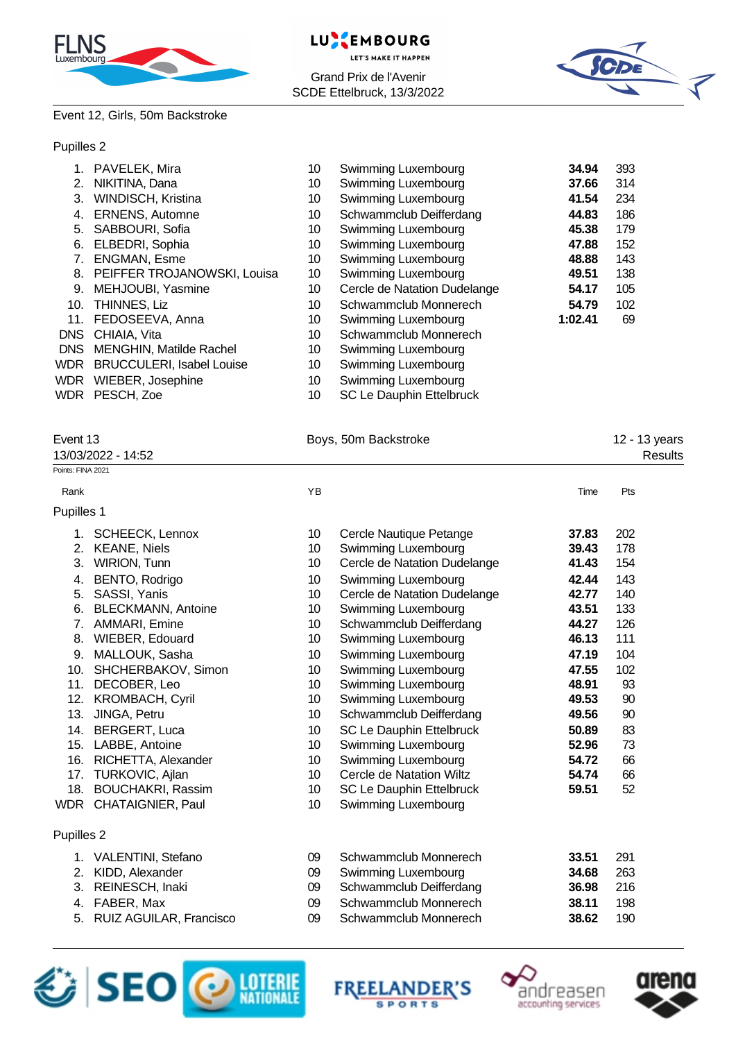





## Event 12, Girls, 50m Backstroke

### Pupilles 2

|            | PAVELEK, Mira                    | 10 | Swimming Luxembourg             | 34.94   | 393 |
|------------|----------------------------------|----|---------------------------------|---------|-----|
| 2.         | NIKITINA, Dana                   | 10 | Swimming Luxembourg             | 37.66   | 314 |
| 3.         | WINDISCH, Kristina               | 10 | Swimming Luxembourg             | 41.54   | 234 |
| 4.         | <b>ERNENS, Automne</b>           | 10 | Schwammclub Deifferdang         | 44.83   | 186 |
| 5.         | SABBOURI, Sofia                  | 10 | Swimming Luxembourg             | 45.38   | 179 |
| 6.         | ELBEDRI, Sophia                  | 10 | Swimming Luxembourg             | 47.88   | 152 |
|            | ENGMAN, Esme                     | 10 | Swimming Luxembourg             | 48.88   | 143 |
| 8.         | PEIFFER TROJANOWSKI, Louisa      | 10 | Swimming Luxembourg             | 49.51   | 138 |
| 9.         | MEHJOUBI, Yasmine                | 10 | Cercle de Natation Dudelange    | 54.17   | 105 |
| 10.        | THINNES, Liz                     | 10 | Schwammclub Monnerech           | 54.79   | 102 |
| 11.        | FEDOSEEVA, Anna                  | 10 | Swimming Luxembourg             | 1:02.41 | 69  |
| <b>DNS</b> | CHIAIA, Vita                     | 10 | Schwammclub Monnerech           |         |     |
| DNS.       | MENGHIN, Matilde Rachel          | 10 | Swimming Luxembourg             |         |     |
| WDR.       | <b>BRUCCULERI, Isabel Louise</b> | 10 | Swimming Luxembourg             |         |     |
| <b>WDR</b> | WIEBER, Josephine                | 10 | Swimming Luxembourg             |         |     |
|            | WDR PESCH, Zoe                   | 10 | <b>SC Le Dauphin Ettelbruck</b> |         |     |

| Event 13           | Boys, 50m Backstroke | 12 - 13 years |
|--------------------|----------------------|---------------|
| 13/03/2022 - 14:52 |                      | Results       |
| Points: FINA 2021  |                      |               |
|                    |                      |               |

#### Rank **Rank Time Pts Proposed and Proposed Area** Time Pts and Proposed and Proposed and Proposed and Proposed and Proposed and Proposed and Proposed and Proposed and Proposed and Proposed and Proposed and Proposed and Pro

## $\overline{P}$

| Pupilles 1 |                            |                 |                              |       |     |  |
|------------|----------------------------|-----------------|------------------------------|-------|-----|--|
| 1.         | SCHEECK, Lennox            | 10 <sup>°</sup> | Cercle Nautique Petange      | 37.83 | 202 |  |
| 2.         | <b>KEANE, Niels</b>        | 10              | Swimming Luxembourg          | 39.43 | 178 |  |
| 3.         | <b>WIRION, Tunn</b>        | 10              | Cercle de Natation Dudelange | 41.43 | 154 |  |
| 4.         | BENTO, Rodrigo             | 10              | Swimming Luxembourg          | 42.44 | 143 |  |
| 5.         | SASSI, Yanis               | 10              | Cercle de Natation Dudelange | 42.77 | 140 |  |
| 6.         | <b>BLECKMANN, Antoine</b>  | 10              | Swimming Luxembourg          | 43.51 | 133 |  |
|            | 7. AMMARI, Emine           | 10 <sub>1</sub> | Schwammclub Deifferdang      | 44.27 | 126 |  |
| 8.         | <b>WIEBER, Edouard</b>     | 10              | Swimming Luxembourg          | 46.13 | 111 |  |
| 9.         | MALLOUK, Sasha             | 10              | Swimming Luxembourg          | 47.19 | 104 |  |
|            | 10. SHCHERBAKOV, Simon     | 10              | Swimming Luxembourg          | 47.55 | 102 |  |
| 11.        | DECOBER, Leo               | 10              | Swimming Luxembourg          | 48.91 | 93  |  |
| 12.        | <b>KROMBACH, Cyril</b>     | 10              | Swimming Luxembourg          | 49.53 | 90  |  |
| 13.        | JINGA, Petru               | 10              | Schwammclub Deifferdang      | 49.56 | 90  |  |
|            | 14. BERGERT, Luca          | 10 <sup>°</sup> | SC Le Dauphin Ettelbruck     | 50.89 | 83  |  |
|            | 15. LABBE, Antoine         | 10              | Swimming Luxembourg          | 52.96 | 73  |  |
|            | 16. RICHETTA, Alexander    | 10              | Swimming Luxembourg          | 54.72 | 66  |  |
|            | 17. TURKOVIC, Ajlan        | 10              | Cercle de Natation Wiltz     | 54.74 | 66  |  |
| 18.        | <b>BOUCHAKRI, Rassim</b>   | 10              | SC Le Dauphin Ettelbruck     | 59.51 | 52  |  |
|            | WDR CHATAIGNIER, Paul      | 10              | Swimming Luxembourg          |       |     |  |
| Pupilles 2 |                            |                 |                              |       |     |  |
|            | 1. VALENTINI, Stefano      | 09              | Schwammclub Monnerech        | 33.51 | 291 |  |
| 2.         | KIDD, Alexander            | 09              | Swimming Luxembourg          | 34.68 | 263 |  |
| 3.         | REINESCH, Inaki            | 09              | Schwammclub Deifferdang      | 36.98 | 216 |  |
|            | 4. FABER, Max              | 09              | Schwammclub Monnerech        | 38.11 | 198 |  |
|            | 5. RUIZ AGUILAR, Francisco | 09              | Schwammclub Monnerech        | 38.62 | 190 |  |
|            |                            |                 |                              |       |     |  |





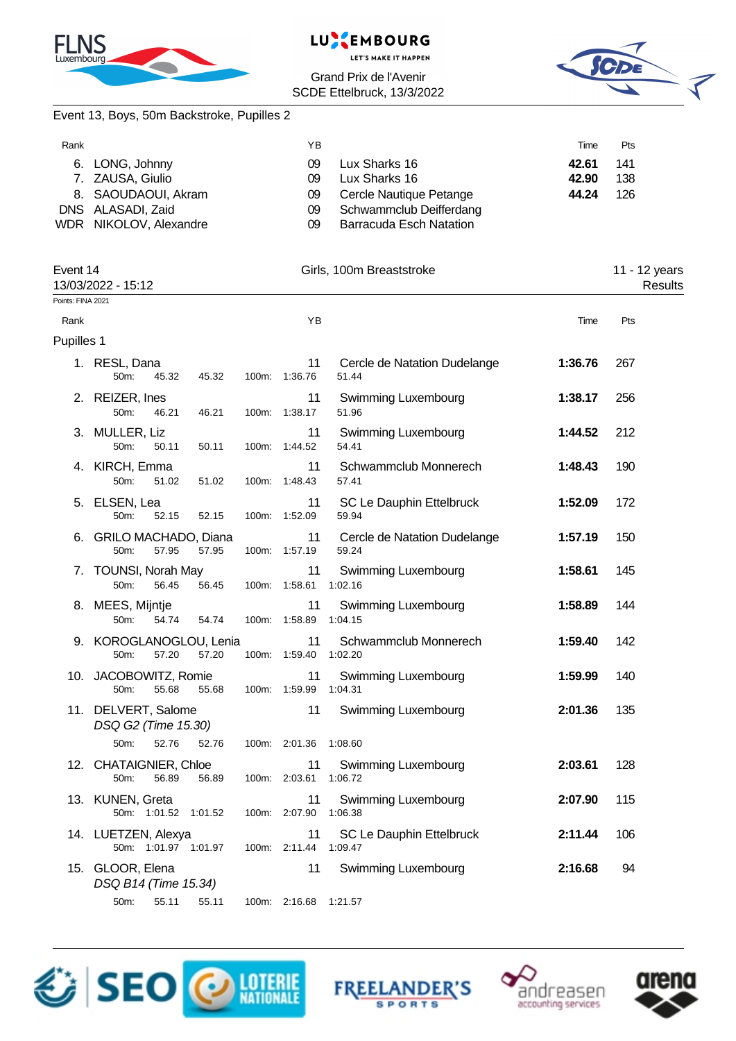





|  |  | Event 13, Boys, 50m Backstroke, Pupilles 2 |  |  |
|--|--|--------------------------------------------|--|--|
|  |  |                                            |  |  |

| Rank |                        | ΥB |                         | Time  | Pts |
|------|------------------------|----|-------------------------|-------|-----|
|      | 6. LONG, Johnny        | 09 | Lux Sharks 16           | 42.61 | 141 |
|      | 7. ZAUSA, Giulio       | 09 | Lux Sharks 16           | 42.90 | 138 |
|      | 8. SAOUDAOUI, Akram    | 09 | Cercle Nautique Petange | 44.24 | 126 |
|      | DNS ALASADI, Zaid      | 09 | Schwammclub Deifferdang |       |     |
|      | WDR NIKOLOV, Alexandre | 09 | Barracuda Esch Natation |       |     |

| Event 14          | 13/03/2022 - 15:12                           |       |       |                     | Girls, 100m Breaststroke              |         | 11 - 12 years<br>Results |  |
|-------------------|----------------------------------------------|-------|-------|---------------------|---------------------------------------|---------|--------------------------|--|
| Points: FINA 2021 |                                              |       |       |                     |                                       |         |                          |  |
| Rank              |                                              |       |       | YB                  |                                       | Time    | Pts                      |  |
| Pupilles 1        |                                              |       |       |                     |                                       |         |                          |  |
|                   | 1. RESL, Dana<br>50m:<br>45.32               | 45.32 |       | 11<br>100m: 1:36.76 | Cercle de Natation Dudelange<br>51.44 | 1:36.76 | 267                      |  |
|                   | 2. REIZER, Ines<br>50m:<br>46.21             | 46.21 | 100m: | 11<br>1:38.17       | Swimming Luxembourg<br>51.96          | 1:38.17 | 256                      |  |
|                   | 3. MULLER, Liz<br>50m:<br>50.11              | 50.11 |       | 11<br>100m: 1:44.52 | Swimming Luxembourg<br>54.41          | 1:44.52 | 212                      |  |
|                   | 4. KIRCH, Emma<br>50m:<br>51.02              | 51.02 |       | 11<br>100m: 1:48.43 | Schwammclub Monnerech<br>57.41        | 1:48.43 | 190                      |  |
| 5.                | ELSEN, Lea<br>50m:<br>52.15                  | 52.15 |       | 11<br>100m: 1:52.09 | SC Le Dauphin Ettelbruck<br>59.94     | 1:52.09 | 172                      |  |
| 6.                | <b>GRILO MACHADO, Diana</b><br>50m:<br>57.95 | 57.95 |       | 11<br>100m: 1:57.19 | Cercle de Natation Dudelange<br>59.24 | 1:57.19 | 150                      |  |
| 7.                | <b>TOUNSI, Norah May</b><br>50m:<br>56.45    | 56.45 |       | 11<br>100m: 1:58.61 | Swimming Luxembourg<br>1:02.16        | 1:58.61 | 145                      |  |
|                   | 8. MEES, Mijntje<br>50m:<br>54.74            | 54.74 |       | 11<br>100m: 1:58.89 | Swimming Luxembourg<br>1:04.15        | 1:58.89 | 144                      |  |
|                   | 9. KOROGLANOGLOU, Lenia<br>57.20<br>50m:     | 57.20 |       | 11<br>100m: 1:59.40 | Schwammclub Monnerech<br>1:02.20      | 1:59.40 | 142                      |  |
|                   | 10. JACOBOWITZ, Romie<br>50m:<br>55.68       | 55.68 |       | 11<br>100m: 1:59.99 | Swimming Luxembourg<br>1:04.31        | 1:59.99 | 140                      |  |
|                   | 11. DELVERT, Salome<br>DSQ G2 (Time 15.30)   |       |       | 11                  | Swimming Luxembourg                   | 2:01.36 | 135                      |  |
|                   | 50m:<br>52.76                                | 52.76 |       | 100m: 2:01.36       | 1:08.60                               |         |                          |  |
|                   | 12. CHATAIGNIER, Chloe<br>50m:<br>56.89      | 56.89 |       | 11<br>100m: 2:03.61 | Swimming Luxembourg<br>1:06.72        | 2:03.61 | 128                      |  |
|                   | 13. KUNEN, Greta<br>50m: 1:01.52 1:01.52     |       |       | 11<br>100m: 2:07.90 | Swimming Luxembourg<br>1:06.38        | 2:07.90 | 115                      |  |
|                   | 14. LUETZEN, Alexya<br>50m: 1:01.97 1:01.97  |       |       | 11<br>100m: 2:11.44 | SC Le Dauphin Ettelbruck<br>1:09.47   | 2:11.44 | 106                      |  |
|                   | 15. GLOOR, Elena<br>DSQ B14 (Time 15.34)     |       |       | 11                  | Swimming Luxembourg                   | 2:16.68 | 94                       |  |
|                   | 50m:<br>55.11                                | 55.11 |       | 100m: 2:16.68       | 1:21.57                               |         |                          |  |







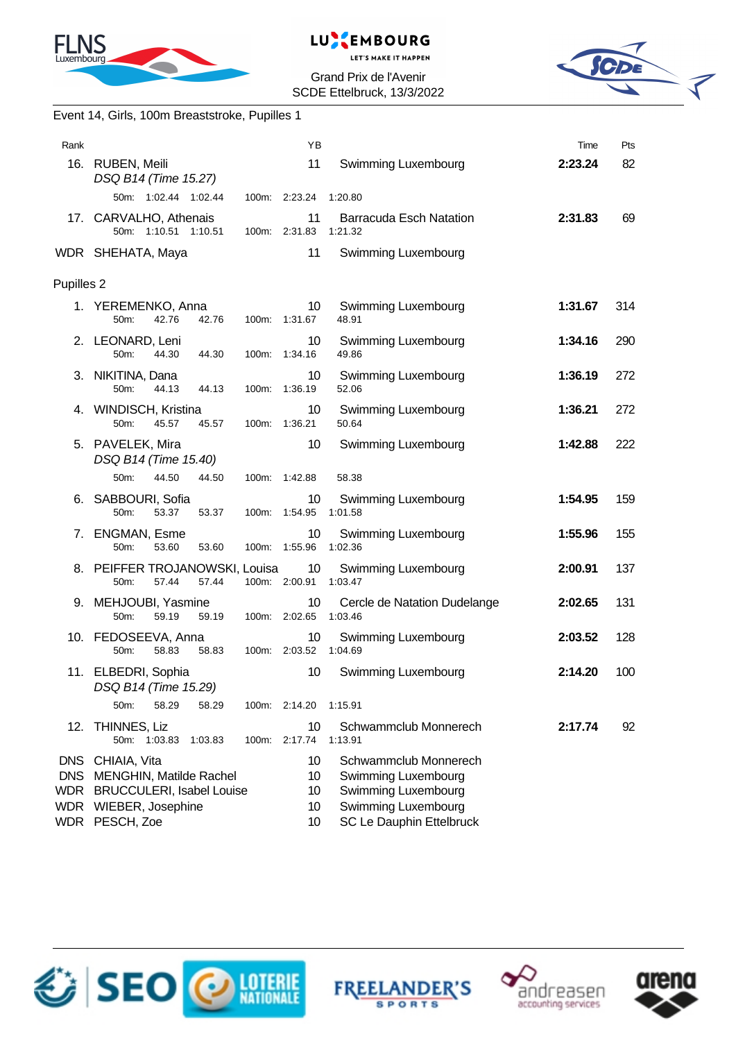





|            | Event 14, Girls, 100m Breaststroke, Pupilles 1                                                                              |       |                             |                                                                                                                        |         |     |
|------------|-----------------------------------------------------------------------------------------------------------------------------|-------|-----------------------------|------------------------------------------------------------------------------------------------------------------------|---------|-----|
| Rank       |                                                                                                                             |       | ΥB                          |                                                                                                                        | Time    | Pts |
|            | 16. RUBEN, Meili<br>DSQ B14 (Time 15.27)                                                                                    |       | 11                          | Swimming Luxembourg                                                                                                    | 2:23.24 | 82  |
|            | 50m: 1:02.44 1:02.44                                                                                                        |       | 100m: 2:23.24               | 1:20.80                                                                                                                |         |     |
|            | 17. CARVALHO, Athenais<br>50m: 1:10.51 1:10.51                                                                              |       | 11<br>100m: 2:31.83         | <b>Barracuda Esch Natation</b><br>1:21.32                                                                              | 2:31.83 | 69  |
|            | WDR SHEHATA, Maya                                                                                                           |       | 11                          | Swimming Luxembourg                                                                                                    |         |     |
| Pupilles 2 |                                                                                                                             |       |                             |                                                                                                                        |         |     |
|            | 1. YEREMENKO, Anna<br>42.76<br>42.76<br>50 <sub>m</sub> :                                                                   |       | 10<br>100m: 1:31.67         | Swimming Luxembourg<br>48.91                                                                                           | 1:31.67 | 314 |
|            | 2. LEONARD, Leni<br>50 <sub>m</sub> :<br>44.30<br>44.30                                                                     |       | 10<br>100m: 1:34.16         | Swimming Luxembourg<br>49.86                                                                                           | 1:34.16 | 290 |
|            | 3. NIKITINA, Dana<br>50m:<br>44.13<br>44.13                                                                                 |       | 10<br>100m: 1:36.19         | <b>Swimming Luxembourg</b><br>52.06                                                                                    | 1:36.19 | 272 |
|            | 4. WINDISCH, Kristina<br>50 <sub>m</sub> :<br>45.57<br>45.57                                                                |       | 10<br>100m: 1:36.21         | Swimming Luxembourg<br>50.64                                                                                           | 1:36.21 | 272 |
|            | 5. PAVELEK, Mira<br>DSQ B14 (Time 15.40)                                                                                    |       | 10                          | Swimming Luxembourg                                                                                                    | 1:42.88 | 222 |
|            | 50 <sub>m</sub> :<br>44.50<br>44.50                                                                                         |       | 100m: 1:42.88               | 58.38                                                                                                                  |         |     |
| 6.         | SABBOURI, Sofia<br>50m:<br>53.37<br>53.37                                                                                   |       | 10<br>100m: 1:54.95         | Swimming Luxembourg<br>1:01.58                                                                                         | 1:54.95 | 159 |
| 7.         | <b>ENGMAN, Esme</b><br>50m:<br>53.60<br>53.60                                                                               |       | 10<br>100m: 1:55.96         | Swimming Luxembourg<br>1:02.36                                                                                         | 1:55.96 | 155 |
|            | 8. PEIFFER TROJANOWSKI, Louisa<br>57.44<br>57.44<br>50m:                                                                    |       | 10<br>100m: 2:00.91         | <b>Swimming Luxembourg</b><br>1:03.47                                                                                  | 2:00.91 | 137 |
|            | 9. MEHJOUBI, Yasmine<br>50m:<br>59.19<br>59.19                                                                              |       | 10<br>100m: 2:02.65         | Cercle de Natation Dudelange<br>1:03.46                                                                                | 2:02.65 | 131 |
|            | 10. FEDOSEEVA, Anna<br>50 <sub>m</sub> :<br>58.83<br>58.83                                                                  |       | 10<br>100m: 2:03.52 1:04.69 | Swimming Luxembourg                                                                                                    | 2:03.52 | 128 |
|            | 11. ELBEDRI, Sophia<br>DSQ B14 (Time 15.29)                                                                                 |       | 10                          | Swimming Luxembourg                                                                                                    | 2:14.20 | 100 |
|            | 58.29<br>50m:<br>58.29                                                                                                      |       | 100m: 2:14.20               | 1:15.91                                                                                                                |         |     |
| 12.        | THINNES, Liz<br>50m: 1:03.83<br>1:03.83                                                                                     | 100m: | 10<br>2:17.74               | Schwammclub Monnerech<br>1:13.91                                                                                       | 2:17.74 | 92  |
|            | DNS CHIAIA, Vita<br>DNS MENGHIN, Matilde Rachel<br>WDR BRUCCULERI, Isabel Louise<br>WDR WIEBER, Josephine<br>WDR PESCH, Zoe |       | 10<br>10<br>10<br>10<br>10  | Schwammclub Monnerech<br>Swimming Luxembourg<br>Swimming Luxembourg<br>Swimming Luxembourg<br>SC Le Dauphin Ettelbruck |         |     |







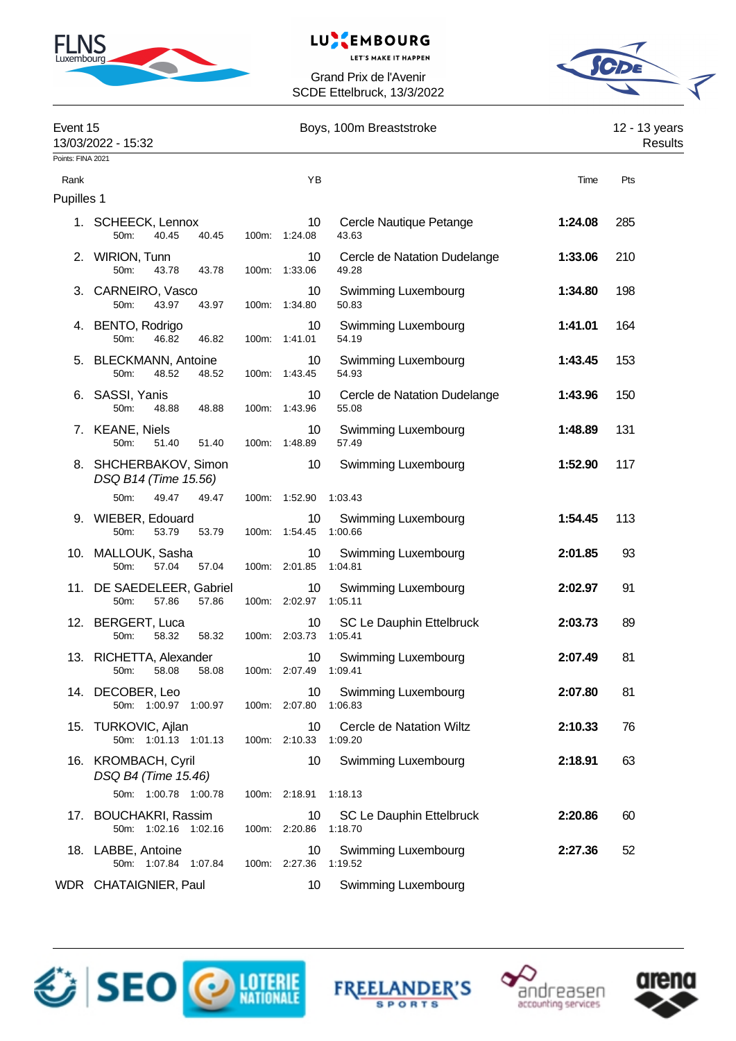

# LUXEMBOURG

**LET'S MAKE IT HAPPEN** 



| Event 15          | 13/03/2022 - 15:32                                  | Boys, 100m Breaststroke |                                          |                                       |         | 12 - 13 years<br>Results |  |
|-------------------|-----------------------------------------------------|-------------------------|------------------------------------------|---------------------------------------|---------|--------------------------|--|
| Points: FINA 2021 |                                                     |                         |                                          |                                       |         |                          |  |
| Rank              |                                                     |                         | YB                                       |                                       | Time    | Pts                      |  |
| Pupilles 1        |                                                     |                         |                                          |                                       |         |                          |  |
|                   | 1. SCHEECK, Lennox<br>40.45<br>50m:<br>40.45        |                         | 10<br>100m: 1:24.08                      | Cercle Nautique Petange<br>43.63      | 1:24.08 | 285                      |  |
|                   | 2. WIRION, Tunn<br>50m:<br>43.78<br>43.78           |                         | 10<br>100m: 1:33.06                      | Cercle de Natation Dudelange<br>49.28 | 1:33.06 | 210                      |  |
|                   | 3. CARNEIRO, Vasco<br>50m:<br>43.97<br>43.97        |                         | 10<br>100m: 1:34.80                      | Swimming Luxembourg<br>50.83          | 1:34.80 | 198                      |  |
|                   | 4. BENTO, Rodrigo<br>50m:<br>46.82<br>46.82         |                         | 10<br>100m: 1:41.01                      | Swimming Luxembourg<br>54.19          | 1:41.01 | 164                      |  |
|                   | 5. BLECKMANN, Antoine<br>50m:<br>48.52<br>48.52     |                         | 10<br>100m: 1:43.45                      | Swimming Luxembourg<br>54.93          | 1:43.45 | 153                      |  |
|                   | 6. SASSI, Yanis<br>50m:<br>48.88<br>48.88           |                         | 10<br>100m: 1:43.96                      | Cercle de Natation Dudelange<br>55.08 | 1:43.96 | 150                      |  |
|                   | 7. KEANE, Niels<br>50m:<br>51.40<br>51.40           |                         | 10<br>100m: 1:48.89                      | Swimming Luxembourg<br>57.49          | 1:48.89 | 131                      |  |
|                   | 8. SHCHERBAKOV, Simon<br>DSQ B14 (Time 15.56)       |                         | 10                                       | Swimming Luxembourg                   | 1:52.90 | 117                      |  |
|                   | 50m:<br>49.47<br>49.47                              |                         | 100m: 1:52.90 1:03.43                    |                                       |         |                          |  |
|                   | 9. WIEBER, Edouard<br>50m:<br>53.79<br>53.79        |                         | 10<br>100m: 1:54.45 1:00.66              | Swimming Luxembourg                   | 1:54.45 | 113                      |  |
|                   | 10. MALLOUK, Sasha<br>57.04<br>50m:<br>57.04        |                         | 10<br>100m: 2:01.85 1:04.81              | Swimming Luxembourg                   | 2:01.85 | 93                       |  |
|                   | 11. DE SAEDELEER, Gabriel<br>50m:<br>57.86<br>57.86 |                         | 10<br>100m: 2:02.97 1:05.11              | Swimming Luxembourg                   | 2:02.97 | 91                       |  |
|                   | 12. BERGERT, Luca<br>58.32<br>50m:<br>58.32         |                         | 10<br>100m: 2:03.73 1:05.41              | SC Le Dauphin Ettelbruck              | 2:03.73 | 89                       |  |
|                   | 13. RICHETTA, Alexander<br>50m: 58.08 58.08         |                         | 10 <sup>°</sup><br>100m: 2:07.49 1:09.41 | <b>Swimming Luxembourg</b>            | 2:07.49 | 81                       |  |
|                   | 14. DECOBER, Leo<br>50m: 1:00.97 1:00.97            |                         | 10<br>100m: 2:07.80 1:06.83              | Swimming Luxembourg                   | 2:07.80 | 81                       |  |
|                   | 15. TURKOVIC, Ajlan<br>50m: 1:01.13 1:01.13         |                         | 10<br>100m: 2:10.33                      | Cercle de Natation Wiltz<br>1:09.20   | 2:10.33 | 76                       |  |
|                   | 16. KROMBACH, Cyril<br>DSQ B4 (Time 15.46)          |                         | 10                                       | Swimming Luxembourg                   | 2:18.91 | 63                       |  |
|                   | 50m: 1:00.78 1:00.78                                |                         | 100m: 2:18.91                            | 1:18.13                               |         |                          |  |
|                   | 17. BOUCHAKRI, Rassim<br>50m: 1:02.16 1:02.16       |                         | 10<br>100m: 2:20.86                      | SC Le Dauphin Ettelbruck<br>1:18.70   | 2:20.86 | 60                       |  |
|                   | 18. LABBE, Antoine<br>50m: 1:07.84 1:07.84          |                         | 10<br>100m: 2:27.36 1:19.52              | Swimming Luxembourg                   | 2:27.36 | 52                       |  |
|                   | WDR CHATAIGNIER, Paul                               |                         | 10                                       | <b>Swimming Luxembourg</b>            |         |                          |  |







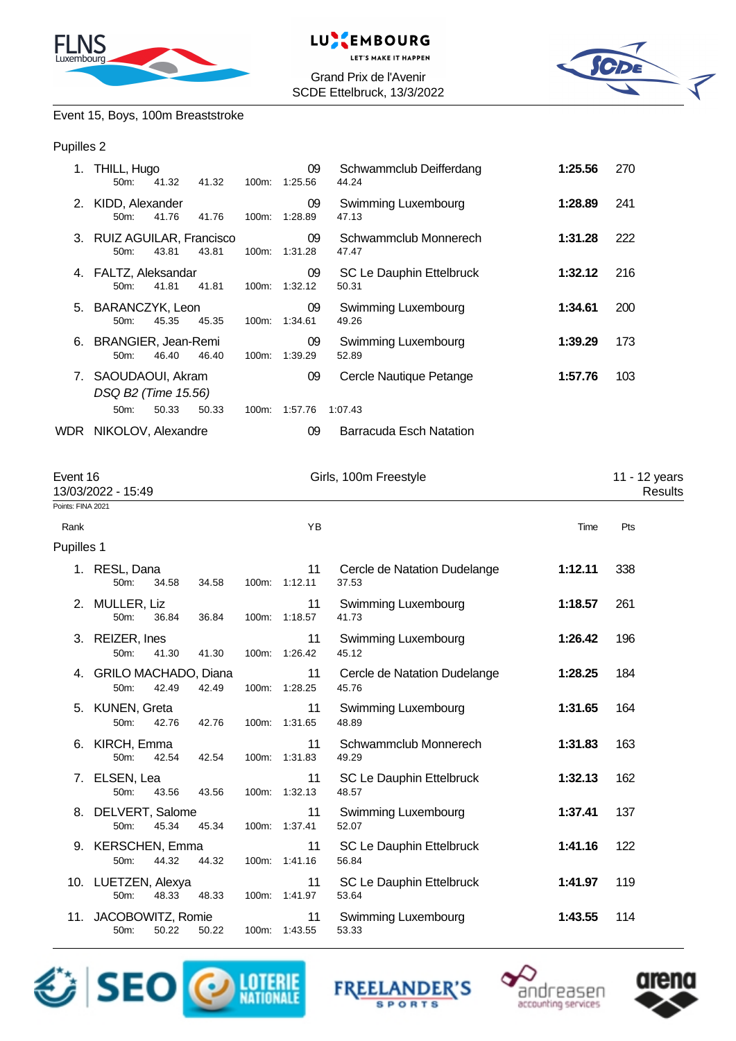



Grand Prix de l'Avenir SCDE Ettelbruck, 13/3/2022



# Event 15, Boys, 100m Breaststroke

### Pupilles 2

| THILL, Hugo<br>50m:            | 41.32                           |                                                                                                                                                                                                                                                                                                                                                                                                                                                                  | 09            | Schwammclub Deifferdang<br>44.24                                                                                                                                                                                                                |                       | 270                      |
|--------------------------------|---------------------------------|------------------------------------------------------------------------------------------------------------------------------------------------------------------------------------------------------------------------------------------------------------------------------------------------------------------------------------------------------------------------------------------------------------------------------------------------------------------|---------------|-------------------------------------------------------------------------------------------------------------------------------------------------------------------------------------------------------------------------------------------------|-----------------------|--------------------------|
| 50m:                           | 41.76                           | 100m:                                                                                                                                                                                                                                                                                                                                                                                                                                                            | 09<br>1:28.89 | Swimming Luxembourg<br>47.13                                                                                                                                                                                                                    | 1:28.89               | 241                      |
| 50m:                           | 43.81                           |                                                                                                                                                                                                                                                                                                                                                                                                                                                                  | 09            | Schwammclub Monnerech<br>47.47                                                                                                                                                                                                                  | 1:31.28               | 222                      |
| 50m:                           | 41.81                           |                                                                                                                                                                                                                                                                                                                                                                                                                                                                  | 09            | SC Le Dauphin Ettelbruck<br>50.31                                                                                                                                                                                                               | 1:32.12               | 216                      |
| 50m:                           | 45.35                           | 100m:                                                                                                                                                                                                                                                                                                                                                                                                                                                            | 09            | <b>Swimming Luxembourg</b><br>49.26                                                                                                                                                                                                             | 1:34.61               | 200                      |
| 50m:                           | 46.40                           |                                                                                                                                                                                                                                                                                                                                                                                                                                                                  | 09            | <b>Swimming Luxembourg</b><br>52.89                                                                                                                                                                                                             | 1:39.29               | 173                      |
|                                |                                 |                                                                                                                                                                                                                                                                                                                                                                                                                                                                  | 09            | Cercle Nautique Petange                                                                                                                                                                                                                         | 1:57.76               | 103                      |
| 50m:                           | 50.33                           |                                                                                                                                                                                                                                                                                                                                                                                                                                                                  |               | 1:07.43                                                                                                                                                                                                                                         |                       |                          |
|                                |                                 |                                                                                                                                                                                                                                                                                                                                                                                                                                                                  | 09            | <b>Barracuda Esch Natation</b>                                                                                                                                                                                                                  |                       |                          |
| Event 16<br>13/03/2022 - 15:49 |                                 |                                                                                                                                                                                                                                                                                                                                                                                                                                                                  |               |                                                                                                                                                                                                                                                 |                       | 11 - 12 years<br>Results |
|                                |                                 |                                                                                                                                                                                                                                                                                                                                                                                                                                                                  |               |                                                                                                                                                                                                                                                 |                       |                          |
|                                |                                 |                                                                                                                                                                                                                                                                                                                                                                                                                                                                  | YB            |                                                                                                                                                                                                                                                 | Time                  | Pts                      |
|                                |                                 |                                                                                                                                                                                                                                                                                                                                                                                                                                                                  |               |                                                                                                                                                                                                                                                 |                       |                          |
| 1. RESL, Dana<br>50m:          | 34.58                           |                                                                                                                                                                                                                                                                                                                                                                                                                                                                  | 11            | Cercle de Natation Dudelange<br>37.53                                                                                                                                                                                                           | 1:12.11               | 338                      |
| 2. MULLER, Liz<br>50m:         | 36.84                           | 100m:                                                                                                                                                                                                                                                                                                                                                                                                                                                            | 11            | <b>Swimming Luxembourg</b><br>41.73                                                                                                                                                                                                             | 1:18.57               | 261                      |
| 3. REIZER, Ines<br>50m:        | 41.30                           | 100m:                                                                                                                                                                                                                                                                                                                                                                                                                                                            | 11<br>1:26.42 | <b>Swimming Luxembourg</b><br>45.12                                                                                                                                                                                                             | 1:26.42               | 196                      |
| 50m:                           | 42.49                           |                                                                                                                                                                                                                                                                                                                                                                                                                                                                  | 11            | Cercle de Natation Dudelange<br>45.76                                                                                                                                                                                                           | 1:28.25               | 184                      |
| 5. KUNEN, Greta<br>50m:        | 42.76                           |                                                                                                                                                                                                                                                                                                                                                                                                                                                                  | 11            | Swimming Luxembourg<br>48.89                                                                                                                                                                                                                    | 1:31.65               | 164                      |
| 6. KIRCH, Emma<br>50m:         | 42.54                           |                                                                                                                                                                                                                                                                                                                                                                                                                                                                  | 11            | Schwammclub Monnerech<br>49.29                                                                                                                                                                                                                  | 1:31.83               | 163                      |
| ELSEN, Lea<br>7.<br>50m:       | 43.56                           |                                                                                                                                                                                                                                                                                                                                                                                                                                                                  | 11            | SC Le Dauphin Ettelbruck<br>48.57                                                                                                                                                                                                               | 1:32.13               | 162                      |
| 50m:                           | 45.34                           |                                                                                                                                                                                                                                                                                                                                                                                                                                                                  | 11            | Swimming Luxembourg<br>52.07                                                                                                                                                                                                                    | 1:37.41               | 137                      |
| 50m:                           | 44.32                           |                                                                                                                                                                                                                                                                                                                                                                                                                                                                  | 11            | SC Le Dauphin Ettelbruck<br>56.84                                                                                                                                                                                                               | 1:41.16               | 122                      |
| 50m:                           | 48.33                           |                                                                                                                                                                                                                                                                                                                                                                                                                                                                  | 11            | SC Le Dauphin Ettelbruck<br>53.64                                                                                                                                                                                                               | 1:41.97               | 119                      |
| 50m:<br>50.22                  | 50.22                           | 100m:                                                                                                                                                                                                                                                                                                                                                                                                                                                            | 11<br>1:43.55 | Swimming Luxembourg<br>53.33                                                                                                                                                                                                                    | 1:43.55               | 114                      |
|                                | Points: FINA 2021<br>Pupilles 1 | 41.32<br>KIDD, Alexander<br>41.76<br>3. RUIZ AGUILAR, Francisco<br>43.81<br>FALTZ, Aleksandar<br>41.81<br>BARANCZYK, Leon<br>45.35<br>BRANGIER, Jean-Remi<br>46.40<br>7. SAOUDAOUI, Akram<br>DSQ B2 (Time 15.56)<br>50.33<br>WDR NIKOLOV, Alexandre<br>34.58<br>36.84<br>41.30<br>4. GRILO MACHADO, Diana<br>42.49<br>42.76<br>42.54<br>43.56<br>DELVERT, Salome<br>45.34<br>9. KERSCHEN, Emma<br>44.32<br>10. LUETZEN, Alexya<br>48.33<br>11. JACOBOWITZ, Romie |               | 100m: 1:25.56<br>100m: 1:31.28<br>100m: 1:32.12<br>1:34.61<br>100m: 1:39.29<br>100m: 1:57.76<br>100m: 1:12.11<br>1:18.57<br>100m: 1:28.25<br>100m: 1:31.65<br>100m: 1:31.83<br>100m: 1:32.13<br>100m: 1:37.41<br>100m: 1:41.16<br>100m: 1:41.97 | Girls, 100m Freestyle | 1:25.56                  |







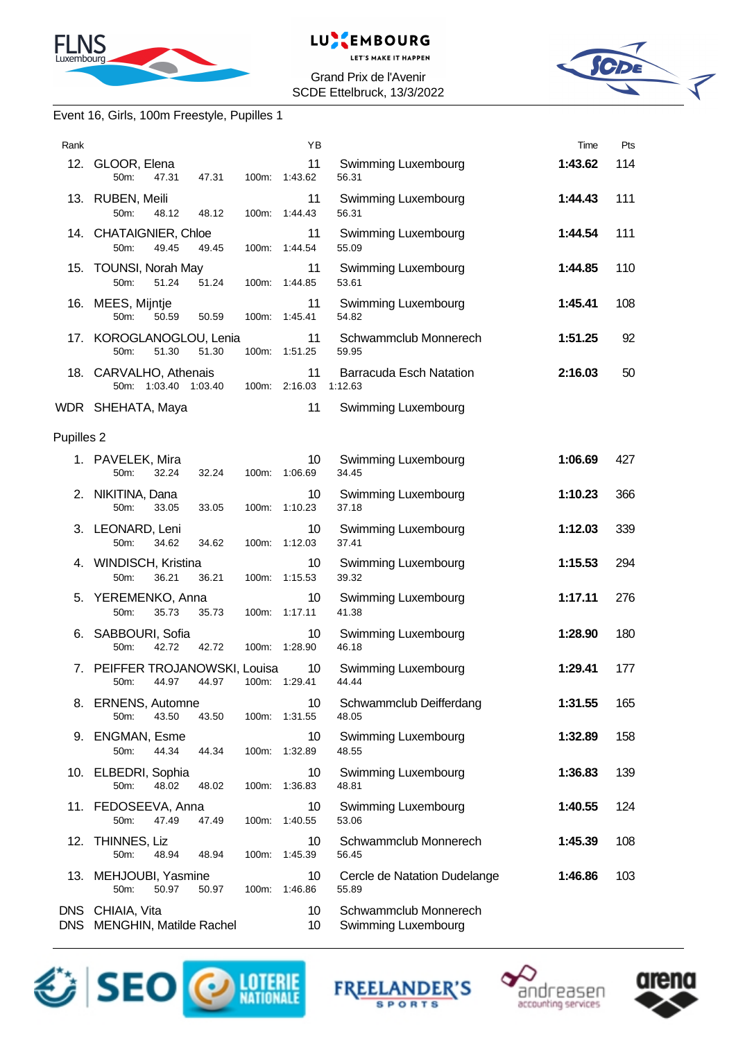



Grand Prix de l'Avenir SCDE Ettelbruck, 13/3/2022



## Event 16, Girls, 100m Freestyle, Pupilles 1

| Rank                  |                                                              |       | YB                  |                                              | Time    | Pts |
|-----------------------|--------------------------------------------------------------|-------|---------------------|----------------------------------------------|---------|-----|
|                       | 12. GLOOR, Elena<br>50 <sub>m</sub> :<br>47.31<br>47.31      |       | 11<br>100m: 1:43.62 | Swimming Luxembourg<br>56.31                 | 1:43.62 | 114 |
|                       | 13. RUBEN, Meili<br>50m:<br>48.12<br>48.12                   | 100m: | 11<br>1:44.43       | Swimming Luxembourg<br>56.31                 | 1:44.43 | 111 |
|                       | 14. CHATAIGNIER, Chloe<br>49.45<br>50m:<br>49.45             |       | 11<br>100m: 1:44.54 | Swimming Luxembourg<br>55.09                 | 1:44.54 | 111 |
|                       | 15. TOUNSI, Norah May<br>51.24<br>50 <sub>m</sub> :<br>51.24 |       | 11<br>100m: 1:44.85 | <b>Swimming Luxembourg</b><br>53.61          | 1:44.85 | 110 |
|                       | 16. MEES, Mijntje<br>50m:<br>50.59<br>50.59                  | 100m: | 11<br>1:45.41       | Swimming Luxembourg<br>54.82                 | 1:45.41 | 108 |
|                       | 17. KOROGLANOGLOU, Lenia<br>51.30<br>50m:<br>51.30           |       | 11<br>100m: 1:51.25 | Schwammclub Monnerech<br>59.95               | 1:51.25 | 92  |
|                       | 18. CARVALHO, Athenais<br>50m: 1:03.40 1:03.40               |       | 11<br>100m: 2:16.03 | <b>Barracuda Esch Natation</b><br>1:12.63    | 2:16.03 | 50  |
|                       | WDR SHEHATA, Maya                                            |       | 11                  | Swimming Luxembourg                          |         |     |
| Pupilles <sub>2</sub> |                                                              |       |                     |                                              |         |     |
|                       | 1. PAVELEK, Mira<br>32.24<br>32.24<br>50m:                   |       | 10<br>100m: 1:06.69 | Swimming Luxembourg<br>34.45                 | 1:06.69 | 427 |
|                       | 2. NIKITINA, Dana<br>50 <sub>m</sub> :<br>33.05<br>33.05     |       | 10<br>100m: 1:10.23 | Swimming Luxembourg<br>37.18                 | 1:10.23 | 366 |
|                       | 3. LEONARD, Leni<br>50m:<br>34.62<br>34.62                   |       | 10<br>100m: 1:12.03 | Swimming Luxembourg<br>37.41                 | 1:12.03 | 339 |
|                       | 4. WINDISCH, Kristina<br>36.21<br>50m:<br>36.21              | 100m: | 10<br>1:15.53       | <b>Swimming Luxembourg</b><br>39.32          | 1:15.53 | 294 |
|                       | 5. YEREMENKO, Anna<br>35.73<br>$50m$ :<br>35.73              |       | 10<br>100m: 1:17.11 | Swimming Luxembourg<br>41.38                 | 1:17.11 | 276 |
|                       | 6. SABBOURI, Sofia<br>42.72<br>42.72<br>50m:                 |       | 10<br>100m: 1:28.90 | Swimming Luxembourg<br>46.18                 | 1:28.90 | 180 |
|                       | 7. PEIFFER TROJANOWSKI, Louisa<br>50m:<br>44.97<br>44.97     |       | 10<br>100m: 1:29.41 | Swimming Luxembourg<br>44.44                 | 1:29.41 | 177 |
|                       | 8. ERNENS, Automne<br>43.50<br>50m:<br>43.50                 |       | 10<br>100m: 1:31.55 | Schwammclub Deifferdang<br>48.05             | 1:31.55 | 165 |
|                       | 9. ENGMAN, Esme<br>50m:<br>44.34<br>44.34                    | 100m: | 10<br>1:32.89       | Swimming Luxembourg<br>48.55                 | 1:32.89 | 158 |
|                       | 10. ELBEDRI, Sophia<br>48.02<br>50m:<br>48.02                | 100m: | 10<br>1:36.83       | Swimming Luxembourg<br>48.81                 | 1:36.83 | 139 |
|                       | 11. FEDOSEEVA, Anna<br>50m:<br>47.49<br>47.49                |       | 10<br>100m: 1:40.55 | Swimming Luxembourg<br>53.06                 | 1:40.55 | 124 |
| 12.                   | THINNES, Liz<br>50m:<br>48.94<br>48.94                       | 100m: | 10<br>1:45.39       | Schwammclub Monnerech<br>56.45               | 1:45.39 | 108 |
|                       | 13. MEHJOUBI, Yasmine<br>50m:<br>50.97<br>50.97              | 100m: | 10<br>1:46.86       | Cercle de Natation Dudelange<br>55.89        | 1:46.86 | 103 |
|                       | DNS CHIAIA, Vita<br>DNS MENGHIN, Matilde Rachel              |       | 10<br>10            | Schwammclub Monnerech<br>Swimming Luxembourg |         |     |







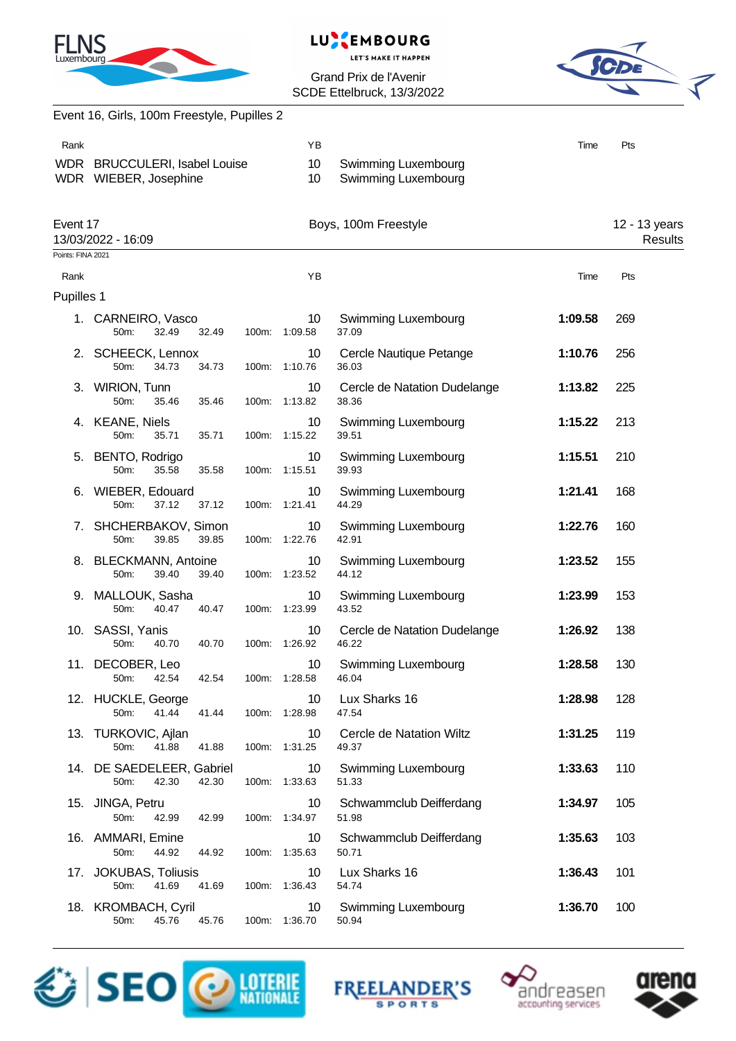





|                           | Event 16, Girls, 100m Freestyle, Pupilles 2            |       |                                  |                                            |         |                          |
|---------------------------|--------------------------------------------------------|-------|----------------------------------|--------------------------------------------|---------|--------------------------|
| Rank                      |                                                        |       | YB                               |                                            | Time    | Pts                      |
|                           | WDR BRUCCULERI, Isabel Louise<br>WDR WIEBER, Josephine |       | 10<br>10                         | Swimming Luxembourg<br>Swimming Luxembourg |         |                          |
|                           | Event 17<br>13/03/2022 - 16:09                         |       |                                  | Boys, 100m Freestyle                       |         | 12 - 13 years<br>Results |
| Points: FINA 2021<br>Rank |                                                        |       | YB                               |                                            | Time    | Pts                      |
| Pupilles 1                |                                                        |       |                                  |                                            |         |                          |
|                           | 1. CARNEIRO, Vasco<br>32.49<br>50m:                    | 32.49 | 10<br>100m: 1:09.58              | Swimming Luxembourg<br>37.09               | 1:09.58 | 269                      |
|                           | 2. SCHEECK, Lennox<br>50m:<br>34.73                    | 34.73 | 10<br>100m: 1:10.76              | Cercle Nautique Petange<br>36.03           | 1:10.76 | 256                      |
|                           | 3. WIRION, Tunn<br>50m:<br>35.46                       | 35.46 | 10<br>100m: 1:13.82              | Cercle de Natation Dudelange<br>38.36      | 1:13.82 | 225                      |
|                           | 4. KEANE, Niels<br>50m:<br>35.71                       | 35.71 | 10<br>100m: 1:15.22              | Swimming Luxembourg<br>39.51               | 1:15.22 | 213                      |
|                           | 5. BENTO, Rodrigo<br>35.58<br>50 <sub>m</sub> :        | 35.58 | 10<br>100m: 1:15.51              | Swimming Luxembourg<br>39.93               | 1:15.51 | 210                      |
|                           | 6. WIEBER, Edouard<br>50m:<br>37.12                    | 37.12 | 10<br>100m: 1:21.41              | <b>Swimming Luxembourg</b><br>44.29        | 1:21.41 | 168                      |
|                           | 7. SHCHERBAKOV, Simon<br>39.85<br>50m:                 | 39.85 | 10<br>100m: 1:22.76              | Swimming Luxembourg<br>42.91               | 1:22.76 | 160                      |
|                           | 8. BLECKMANN, Antoine<br>50m:<br>39.40                 | 39.40 | 10<br>100m: 1:23.52              | Swimming Luxembourg<br>44.12               | 1:23.52 | 155                      |
|                           | 9. MALLOUK, Sasha<br>50m:<br>40.47                     | 40.47 | 10<br>100m: 1:23.99              | Swimming Luxembourg<br>43.52               | 1:23.99 | 153                      |
|                           | 10. SASSI, Yanis<br>40.70<br>50m:                      | 40.70 | 10<br>100m: 1:26.92              | Cercle de Natation Dudelange<br>46.22      | 1:26.92 | 138                      |
|                           | 11. DECOBER, Leo<br>50m:<br>42.54                      | 42.54 | 10 <sup>°</sup><br>100m: 1:28.58 | Swimming Luxembourg<br>46.04               | 1:28.58 | 130                      |
|                           | 12. HUCKLE, George<br>41.44<br>50m:                    | 41.44 | 10<br>100m: 1:28.98              | Lux Sharks 16<br>47.54                     | 1:28.98 | 128                      |
|                           | 13. TURKOVIC, Ajlan<br>50m:<br>41.88                   | 41.88 | 10<br>100m: 1:31.25              | Cercle de Natation Wiltz<br>49.37          | 1:31.25 | 119                      |
|                           | 14. DE SAEDELEER, Gabriel<br>42.30<br>50m:             | 42.30 | 10<br>100m: 1:33.63              | Swimming Luxembourg<br>51.33               | 1:33.63 | 110                      |
|                           | 15. JINGA, Petru<br>50m:<br>42.99                      | 42.99 | 10<br>100m: 1:34.97              | Schwammclub Deifferdang<br>51.98           | 1:34.97 | 105                      |
|                           | 16. AMMARI, Emine<br>50m:<br>44.92                     | 44.92 | 10<br>100m: 1:35.63              | Schwammclub Deifferdang<br>50.71           | 1:35.63 | 103                      |
|                           | 17. JOKUBAS, Toliusis<br>41.69<br>50m:                 | 41.69 | 10<br>100m: 1:36.43              | Lux Sharks 16<br>54.74                     | 1:36.43 | 101                      |
|                           | 18. KROMBACH, Cyril<br>45.76<br>50m:                   | 45.76 | 10<br>100m: 1:36.70              | Swimming Luxembourg<br>50.94               | 1:36.70 | 100                      |







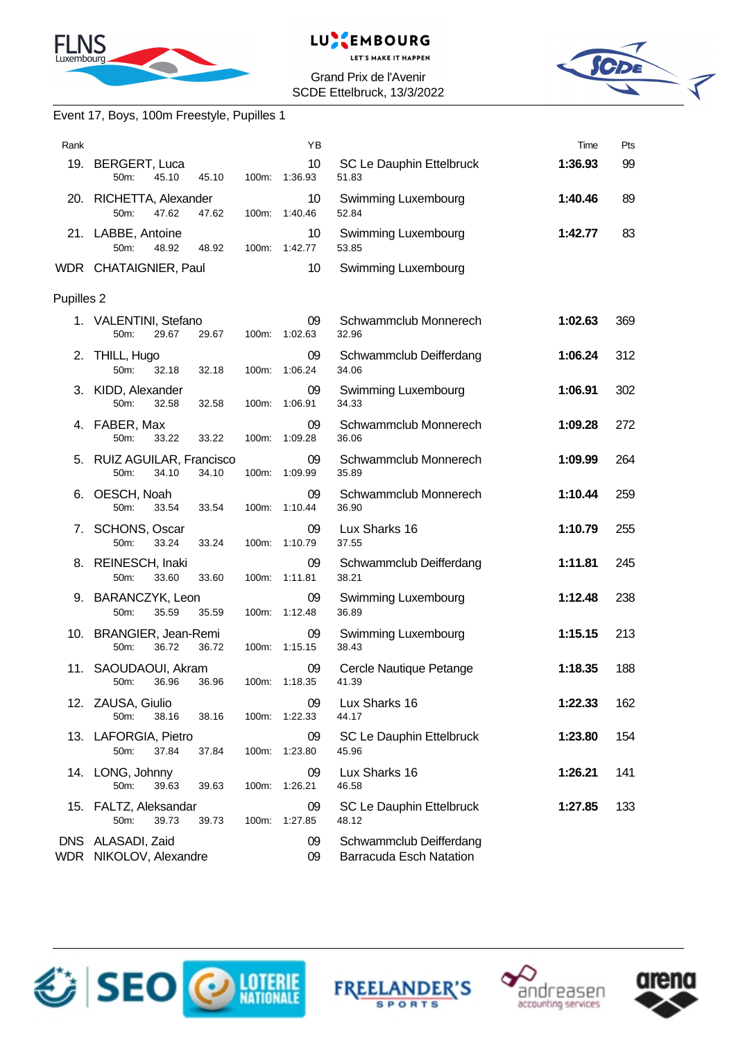



Grand Prix de l'Avenir SCDE Ettelbruck, 13/3/2022



## Event 17, Boys, 100m Freestyle, Pupilles 1

| Rank       |                                                      |       | YB                  |                                                           | Time    | Pts |
|------------|------------------------------------------------------|-------|---------------------|-----------------------------------------------------------|---------|-----|
|            | 19. BERGERT, Luca<br>50m:<br>45.10<br>45.10          | 100m: | 10<br>1:36.93       | SC Le Dauphin Ettelbruck<br>51.83                         | 1:36.93 | 99  |
|            | 20. RICHETTA, Alexander<br>50m:<br>47.62<br>47.62    | 100m: | 10<br>1:40.46       | Swimming Luxembourg<br>52.84                              | 1:40.46 | 89  |
|            | 21. LABBE, Antoine<br>50m:<br>48.92<br>48.92         |       | 10<br>100m: 1:42.77 | Swimming Luxembourg<br>53.85                              | 1:42.77 | 83  |
|            | WDR CHATAIGNIER, Paul                                |       | 10                  | Swimming Luxembourg                                       |         |     |
| Pupilles 2 |                                                      |       |                     |                                                           |         |     |
|            | 1. VALENTINI, Stefano<br>29.67<br>50m:<br>29.67      |       | 09<br>100m: 1:02.63 | Schwammclub Monnerech<br>32.96                            | 1:02.63 | 369 |
|            | 2. THILL, Hugo<br>50m:<br>32.18<br>32.18             | 100m: | 09<br>1:06.24       | Schwammclub Deifferdang<br>34.06                          | 1:06.24 | 312 |
|            | 3. KIDD, Alexander<br>50m:<br>32.58<br>32.58         | 100m: | 09<br>1:06.91       | Swimming Luxembourg<br>34.33                              | 1:06.91 | 302 |
| 4.         | FABER, Max<br>33.22<br>50m:<br>33.22                 | 100m: | 09<br>1:09.28       | Schwammclub Monnerech<br>36.06                            | 1:09.28 | 272 |
|            | 5. RUIZ AGUILAR, Francisco<br>50m:<br>34.10<br>34.10 | 100m: | 09<br>1:09.99       | Schwammclub Monnerech<br>35.89                            | 1:09.99 | 264 |
| 6.         | OESCH, Noah<br>50m:<br>33.54<br>33.54                | 100m: | 09<br>1:10.44       | Schwammclub Monnerech<br>36.90                            | 1:10.44 | 259 |
| 7.         | SCHONS, Oscar<br>33.24<br>50m:<br>33.24              |       | 09<br>100m: 1:10.79 | Lux Sharks 16<br>37.55                                    | 1:10.79 | 255 |
|            | 8. REINESCH, Inaki<br>33.60<br>50m:<br>33.60         | 100m: | 09<br>1:11.81       | Schwammclub Deifferdang<br>38.21                          | 1:11.81 | 245 |
|            | 9. BARANCZYK, Leon<br>50m:<br>35.59<br>35.59         | 100m: | 09<br>1:12.48       | Swimming Luxembourg<br>36.89                              | 1:12.48 | 238 |
|            | 10. BRANGIER, Jean-Remi<br>50m:<br>36.72<br>36.72    |       | 09<br>100m: 1:15.15 | Swimming Luxembourg<br>38.43                              | 1:15.15 | 213 |
|            | 11. SAOUDAOUI, Akram<br>36.96<br>50m: 36.96          |       | 09<br>100m: 1:18.35 | Cercle Nautique Petange<br>41.39                          | 1:18.35 | 188 |
|            | 12. ZAUSA, Giulio<br>50m:<br>38.16<br>38.16          | 100m: | 09<br>1:22.33       | Lux Sharks 16<br>44.17                                    | 1:22.33 | 162 |
|            | 13. LAFORGIA, Pietro<br>50m:<br>37.84<br>37.84       | 100m: | 09<br>1:23.80       | SC Le Dauphin Ettelbruck<br>45.96                         | 1:23.80 | 154 |
|            | 14. LONG, Johnny<br>50m:<br>39.63<br>39.63           | 100m: | 09<br>1:26.21       | Lux Sharks 16<br>46.58                                    | 1:26.21 | 141 |
|            | 15. FALTZ, Aleksandar<br>50m:<br>39.73<br>39.73      | 100m: | 09<br>1:27.85       | SC Le Dauphin Ettelbruck<br>48.12                         | 1:27.85 | 133 |
|            | DNS ALASADI, Zaid<br>WDR NIKOLOV, Alexandre          |       | 09<br>09            | Schwammclub Deifferdang<br><b>Barracuda Esch Natation</b> |         |     |







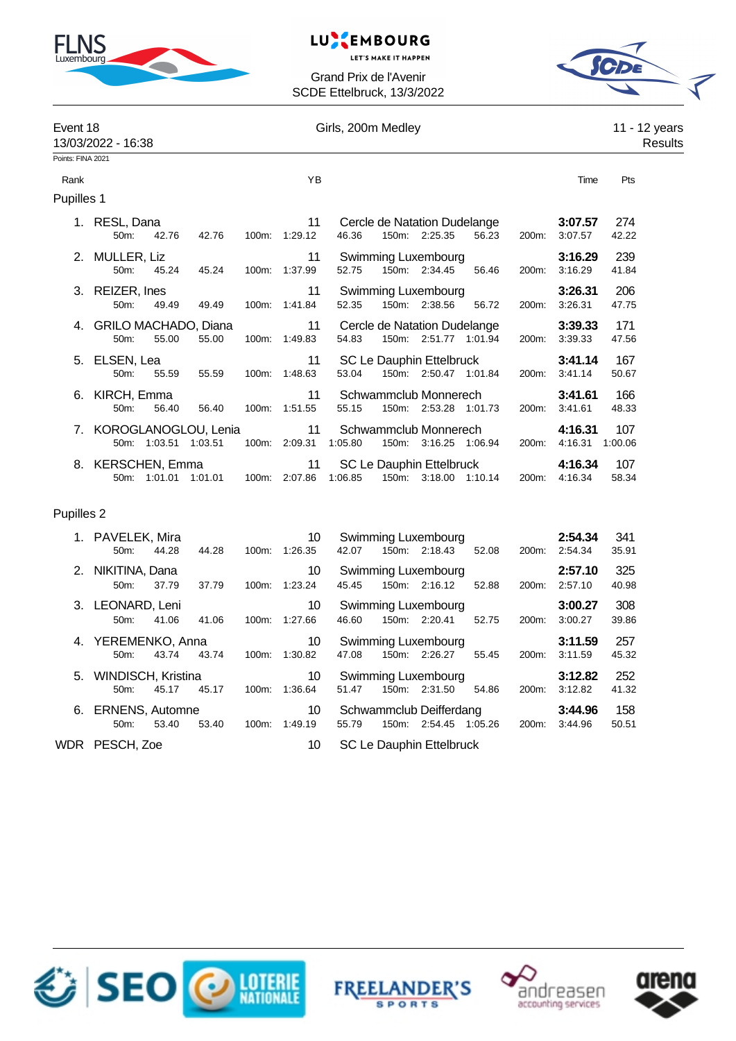

#### EMBOURG **LUNK**

**LET'S MAKE IT HAPPEN** 

Grand Prix de l'Avenir SCDE Ettelbruck, 13/3/2022



| Event 18<br>13/03/2022 - 16:38 |                                    |                      |                      |       | Girls, 200m Medley  | 11 - 12 years<br>Results                                                                                   |                |
|--------------------------------|------------------------------------|----------------------|----------------------|-------|---------------------|------------------------------------------------------------------------------------------------------------|----------------|
| Points: FINA 2021              |                                    |                      |                      |       |                     |                                                                                                            |                |
| Rank                           |                                    |                      |                      |       | ΥB                  |                                                                                                            | Time<br>Pts    |
| Pupilles 1                     |                                    |                      |                      |       |                     |                                                                                                            |                |
|                                | 1. RESL, Dana<br>50 <sub>m</sub> : | 42.76                | 42.76                | 100m: | 11<br>1:29.12       | Cercle de Natation Dudelange<br>3:07.57<br>150m: 2:25.35<br>46.36<br>56.23<br>3:07.57<br>200m:             | 274<br>42.22   |
|                                | 2. MULLER, Liz<br>$50m$ :          | 45.24                | 45.24                | 100m: | 11<br>1:37.99       | Swimming Luxembourg<br>3:16.29<br>52.75<br>150m: 2:34.45<br>3:16.29<br>56.46<br>200m:                      | 239<br>41.84   |
|                                | 3. REIZER, Ines<br>50m:            | 49.49                | 49.49                | 100m: | 11<br>1:41.84       | Swimming Luxembourg<br>3:26.31<br>150m: 2:38.56<br>52.35<br>3:26.31<br>56.72<br>200m:                      | 206<br>47.75   |
|                                | 4. GRILO MACHADO, Diana<br>50m:    | 55.00                | 55.00                |       | 11<br>100m: 1:49.83 | Cercle de Natation Dudelange<br>3:39.33<br>150m: 2:51.77 1:01.94<br>54.83<br>3:39.33<br>200 <sub>m</sub> : | 171<br>47.56   |
|                                | 5. ELSEN, Lea<br>50 <sub>m</sub> : | 55.59                | 55.59                | 100m: | 11<br>1:48.63       | SC Le Dauphin Ettelbruck<br>3:41.14<br>150m: 2:50.47 1:01.84<br>53.04<br>200m:<br>3:41.14                  | 167<br>50.67   |
| 6.                             | KIRCH, Emma<br>50m:                | 56.40                | 56.40                | 100m: | 11<br>1:51.55       | Schwammclub Monnerech<br>3:41.61<br>150m: 2:53.28 1:01.73<br>3:41.61<br>55.15<br>200 <sub>m</sub> :        | 166<br>48.33   |
|                                |                                    | 50m: 1:03.51 1:03.51 | KOROGLANOGLOU, Lenia | 100m: | 11<br>2:09.31       | Schwammclub Monnerech<br>4:16.31<br>1:05.80<br>150m: 3:16.25 1:06.94<br>4:16.31<br>200 <sub>m</sub> :      | 107<br>1:00.06 |
| 8.                             | <b>KERSCHEN, Emma</b>              | 50m: 1:01.01 1:01.01 |                      |       | 11<br>100m: 2:07.86 | SC Le Dauphin Ettelbruck<br>4:16.34<br>150m: 3:18.00 1:10.14<br>1:06.85<br>200m:<br>4:16.34                | 107<br>58.34   |

### Pupilles 2

|      | 1. PAVELEK, Mira<br>50m:         | 44.28 | 44.28 | 100m:    | 10<br>1:26.35 | 42.07 |          | Swimming Luxembourg<br>150m: 2:18.43 | 52.08   | 200 <sub>m</sub> : | 2:54.34<br>2:54.34 | 341<br>35.91 |
|------|----------------------------------|-------|-------|----------|---------------|-------|----------|--------------------------------------|---------|--------------------|--------------------|--------------|
|      | 2. NIKITINA, Dana<br>$50m$ :     | 37.79 | 37.79 | $100m$ : | 10<br>1:23.24 | 45.45 | 150m:    | Swimming Luxembourg<br>2:16.12       | 52.88   | 200 <sub>m</sub> : | 2:57.10<br>2:57.10 | 325<br>40.98 |
|      | 3. LEONARD, Leni<br>50m          | 41.06 | 41.06 | $100m$ : | 10<br>1:27.66 | 46.60 | 150m:    | Swimming Luxembourg<br>2:20.41       | 52.75   | $200m$ :           | 3:00.27<br>3:00.27 | 308<br>39.86 |
|      | 4. YEREMENKO, Anna<br>$50m$ :    | 43.74 | 43.74 | $100m$ : | 10<br>1:30.82 | 47.08 | 150m:    | Swimming Luxembourg<br>2:26.27       | 55.45   | 200 <sub>m</sub> : | 3:11.59<br>3:11.59 | 257<br>45.32 |
|      | 5. WINDISCH, Kristina<br>$50m$ : | 45.17 | 45.17 | $100m$ : | 10<br>1:36.64 | 51.47 | 150m:    | Swimming Luxembourg<br>2:31.50       | 54.86   | 200m:              | 3:12.82<br>3:12.82 | 252<br>41.32 |
|      | 6. ERNENS, Automne<br>50m:       | 53.40 | 53.40 | $100m$ : | 10<br>1:49.19 | 55.79 | $150m$ : | Schwammclub Deifferdang<br>2:54.45   | 1:05.26 | 200 <sub>m</sub> : | 3:44.96<br>3:44.96 | 158<br>50.51 |
| WDR. | PESCH, Zoe<br>10                 |       |       |          |               |       |          | SC Le Dauphin Ettelbruck             |         |                    |                    |              |







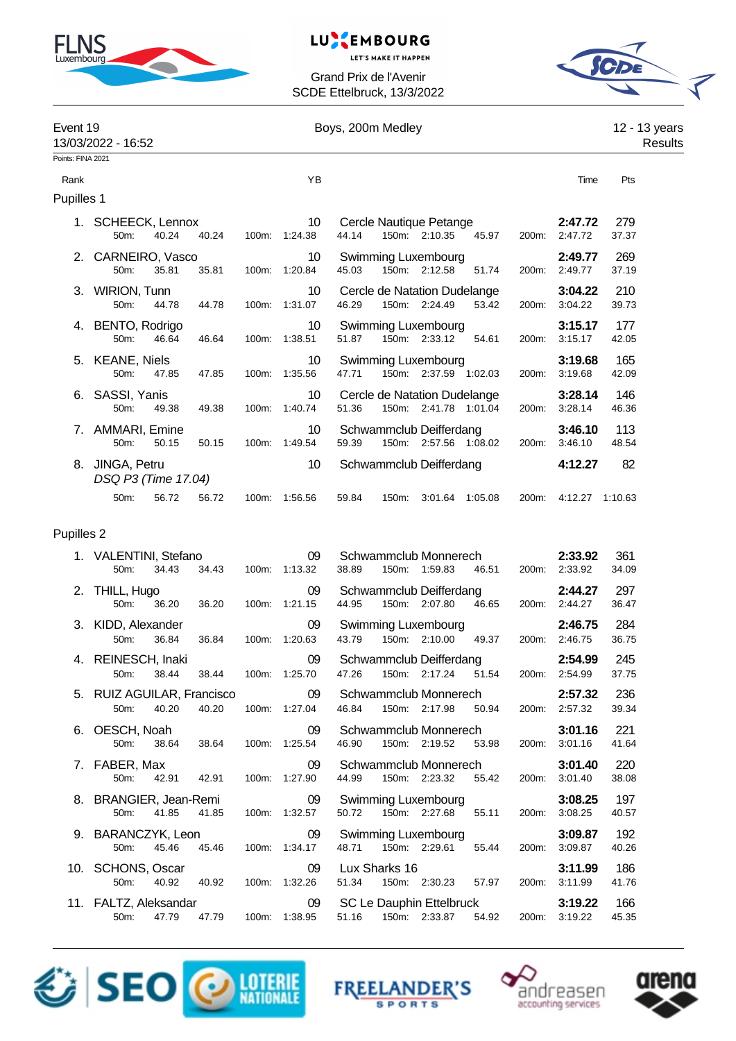

# LUXEMBOURG

**LET'S MAKE IT HAPPEN** 

Grand Prix de l'Avenir SCDE Ettelbruck, 13/3/2022



| Event 19          | 13/03/2022 - 16:52                          |       |       | Boys, 200m Medley |               |       |       |                                                       |         |       |                    |              | 12 - 13 years<br>Results |  |
|-------------------|---------------------------------------------|-------|-------|-------------------|---------------|-------|-------|-------------------------------------------------------|---------|-------|--------------------|--------------|--------------------------|--|
| Points: FINA 2021 |                                             |       |       |                   |               |       |       |                                                       |         |       |                    |              |                          |  |
| Rank              |                                             |       |       |                   | YB            |       |       |                                                       |         |       | Time               | Pts          |                          |  |
| <b>Pupilles 1</b> |                                             |       |       |                   |               |       |       |                                                       |         |       |                    |              |                          |  |
|                   | <b>SCHEECK, Lennox</b><br>50 <sub>m</sub> : | 40.24 | 40.24 | 100m:             | 10<br>1:24.38 | 44.14 |       | Cercle Nautique Petange<br>150m: 2:10.35              | 45.97   | 200m: | 2:47.72<br>2:47.72 | 279<br>37.37 |                          |  |
|                   | 2. CARNEIRO, Vasco<br>50m:                  | 35.81 | 35.81 | 100m:             | 10<br>1:20.84 | 45.03 |       | Swimming Luxembourg<br>150m: 2:12.58                  | 51.74   | 200m: | 2:49.77<br>2:49.77 | 269<br>37.19 |                          |  |
| 3.                | <b>WIRION, Tunn</b><br>50m:                 | 44.78 | 44.78 | 100m:             | 10<br>1:31.07 | 46.29 |       | Cercle de Natation Dudelange<br>150m: 2:24.49         | 53.42   | 200m: | 3:04.22<br>3:04.22 | 210<br>39.73 |                          |  |
| 4.                | BENTO, Rodrigo<br>50m:                      | 46.64 | 46.64 | 100m:             | 10<br>1:38.51 | 51.87 |       | Swimming Luxembourg<br>150m: 2:33.12                  | 54.61   | 200m: | 3:15.17<br>3:15.17 | 177<br>42.05 |                          |  |
| 5.                | <b>KEANE, Niels</b><br>50m:                 | 47.85 | 47.85 | 100m:             | 10<br>1:35.56 | 47.71 |       | Swimming Luxembourg<br>150m: 2:37.59 1:02.03          |         | 200m: | 3:19.68<br>3:19.68 | 165<br>42.09 |                          |  |
| 6.                | SASSI, Yanis<br>50m:                        | 49.38 | 49.38 | 100m:             | 10<br>1:40.74 | 51.36 |       | Cercle de Natation Dudelange<br>150m: 2:41.78 1:01.04 |         | 200m: | 3:28.14<br>3:28.14 | 146<br>46.36 |                          |  |
|                   | AMMARI, Emine<br>50 <sub>m</sub> :          | 50.15 | 50.15 | 100m:             | 10<br>1:49.54 | 59.39 | 150m: | Schwammclub Deifferdang<br>2:57.56 1:08.02            |         | 200m: | 3:46.10<br>3:46.10 | 113<br>48.54 |                          |  |
| 8.                | JINGA, Petru<br>DSQ P3 (Time 17.04)         |       |       |                   | 10            |       |       | Schwammclub Deifferdang                               |         |       | 4:12.27            | 82           |                          |  |
|                   | 50m:                                        | 56.72 | 56.72 | 100m:             | 1:56.56       | 59.84 | 150m: | 3:01.64                                               | 1:05.08 | 200m: | 4:12.27            | 1:10.63      |                          |  |
|                   |                                             |       |       |                   |               |       |       |                                                       |         |       |                    |              |                          |  |

### Pupilles 2

| 1. VALENTINI, Stefano<br>50m:                                                                                                                                                                                                          | 34.43 | 34.43 |       | 09<br>100m: 1:13.32        | Schwammclub Monnerech<br>2:33.92<br>38.89<br>150m: 1:59.83<br>46.51<br>200m:<br>2:33.92    | 361<br>34.09 |
|----------------------------------------------------------------------------------------------------------------------------------------------------------------------------------------------------------------------------------------|-------|-------|-------|----------------------------|--------------------------------------------------------------------------------------------|--------------|
| 2. THILL, Hugo <b>Example 2.</b> THILL, Hugo<br>50m:                                                                                                                                                                                   | 36.20 |       |       | 09<br>36.20 100m: 1:21.15  | Schwammclub Deifferdang<br>2:44.27<br>150m: 2:07.80  46.65  200m: 2:44.27<br>44.95         | 297<br>36.47 |
| 3. KIDD, Alexander<br>50 <sub>m</sub> :                                                                                                                                                                                                | 36.84 | 36.84 |       | 09<br>100m: 1:20.63        | Swimming Luxembourg<br>2:46.75<br>150m: 2:10.00 49.37<br>2:46.75<br>43.79<br>200m:         | 284<br>36.75 |
| 4. REINESCH, Inaki<br>50 <sub>m</sub> :                                                                                                                                                                                                | 38.44 | 38.44 |       | 09<br>100m: 1:25.70        | Schwammclub Deifferdang<br>2:54.99<br>150m: 2:17.24  51.54  200m: 2:54.99<br>47.26         | 245<br>37.75 |
| 5. RUIZ AGUILAR, Francisco<br>50m:                                                                                                                                                                                                     | 40.20 | 40.20 |       | 09<br>100m: 1:27.04        | Schwammclub Monnerech<br>2:57.32<br>46.84<br>150m: 2:17.98 50.94<br>200m: 2:57.32          | 236<br>39.34 |
| 6. OESCH, Noah and the control of the control of the control of the control of the control of the control of the control of the control of the control of the control of the control of the control of the control of the cont<br>50m: | 38.64 | 38.64 |       | 09<br>100m: 1:25.54        | Schwammclub Monnerech<br>3:01.16<br>46.90<br>150m: 2:19.52<br>53.98<br>200m:<br>3:01.16    | 221<br>41.64 |
| 7. FABER, Max<br>50m:                                                                                                                                                                                                                  | 42.91 |       |       | 09<br>42.91  100m: 1:27.90 | Schwammclub Monnerech<br>3:01.40<br>150m: 2:23.32 55.42 200m:<br>3:01.40<br>44.99          | 220<br>38.08 |
| 8. BRANGIER, Jean-Remi<br>50 <sub>m</sub>                                                                                                                                                                                              | 41.85 | 41.85 |       | 09<br>100m: 1:32.57        | <b>Swimming Luxembourg</b><br>3:08.25<br>150m: 2:27.68 55.11<br>3:08.25<br>50.72<br>200m:  | 197<br>40.57 |
| 9. BARANCZYK, Leon<br>50m:                                                                                                                                                                                                             | 45.46 | 45.46 |       | 09<br>100m: 1:34.17        | Swimming Luxembourg<br>3:09.87<br>48.71 150m: 2:29.61<br>55.44<br>3:09.87<br>200m:         | 192<br>40.26 |
| 10. SCHONS, Oscar<br>50m:                                                                                                                                                                                                              | 40.92 | 40.92 |       | 09<br>100m: 1:32.26        | Lux Sharks 16<br>3:11.99<br>51.34  150m: 2:30.23  57.97  200m:<br>3:11.99                  | 186<br>41.76 |
| 11. FALTZ, Aleksandar 09<br>50m:                                                                                                                                                                                                       | 47.79 | 47.79 | 100m: | 1:38.95                    | SC Le Dauphin Ettelbruck<br>3:19.22<br>51.16<br>150m: 2:33.87<br>54.92<br>200m:<br>3:19.22 | 166<br>45.35 |